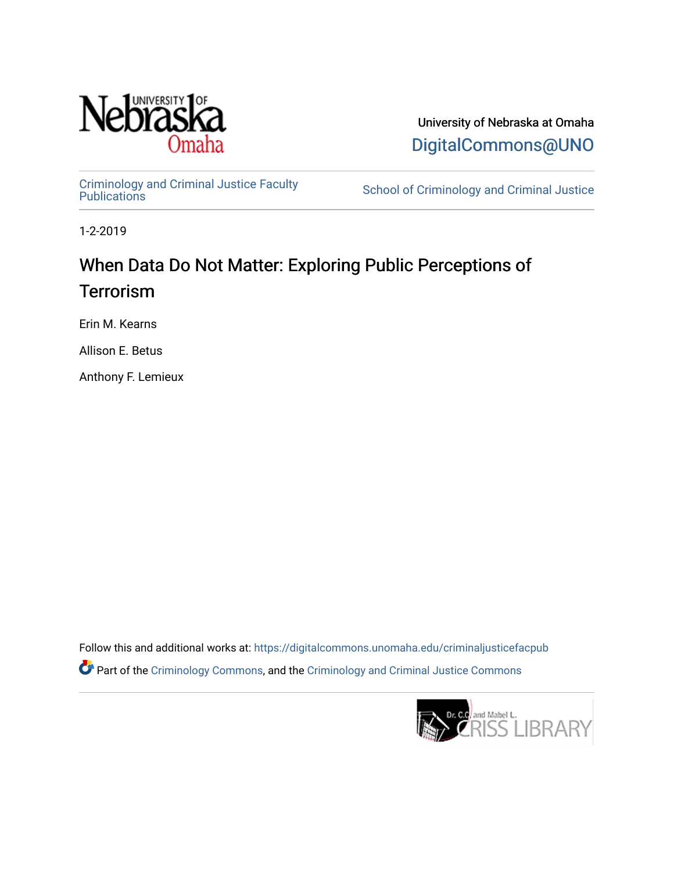

University of Nebraska at Omaha [DigitalCommons@UNO](https://digitalcommons.unomaha.edu/) 

[Criminology and Criminal Justice Faculty](https://digitalcommons.unomaha.edu/criminaljusticefacpub)

School of Criminology and Criminal Justice

1-2-2019

# When Data Do Not Matter: Exploring Public Perceptions of **Terrorism**

Erin M. Kearns

Allison E. Betus

Anthony F. Lemieux

Follow this and additional works at: [https://digitalcommons.unomaha.edu/criminaljusticefacpub](https://digitalcommons.unomaha.edu/criminaljusticefacpub?utm_source=digitalcommons.unomaha.edu%2Fcriminaljusticefacpub%2F112&utm_medium=PDF&utm_campaign=PDFCoverPages)  Part of the [Criminology Commons](https://network.bepress.com/hgg/discipline/417?utm_source=digitalcommons.unomaha.edu%2Fcriminaljusticefacpub%2F112&utm_medium=PDF&utm_campaign=PDFCoverPages), and the [Criminology and Criminal Justice Commons](https://network.bepress.com/hgg/discipline/367?utm_source=digitalcommons.unomaha.edu%2Fcriminaljusticefacpub%2F112&utm_medium=PDF&utm_campaign=PDFCoverPages)

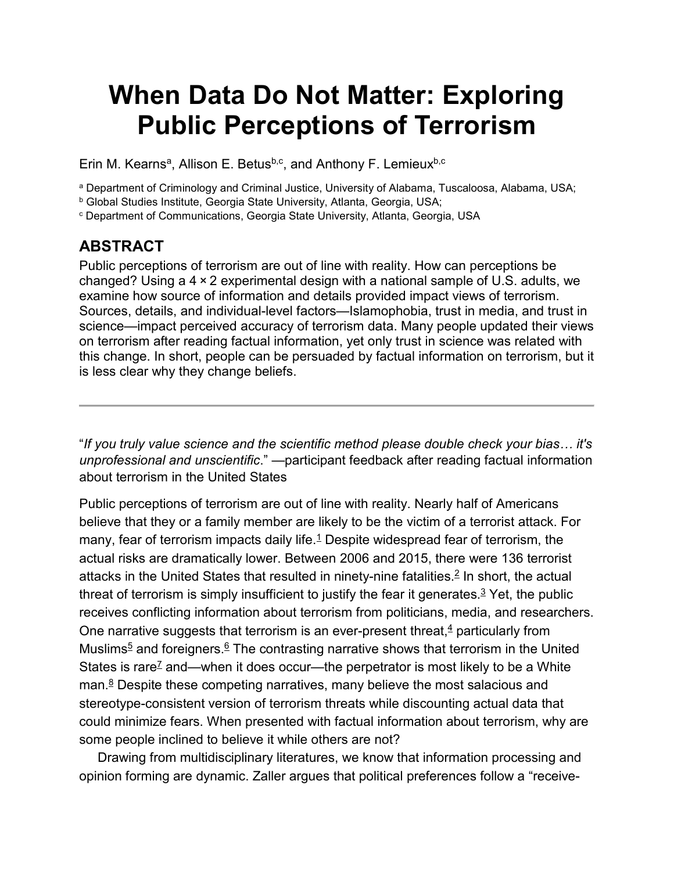# **When Data Do Not Matter: Exploring Public Perceptions of Terrorism**

Erin M. Kearns<sup>a</sup>, Allison E. Betus<sup>b,c</sup>, and Anthony F. Lemieux<sup>b,c</sup>

a Department of Criminology and Criminal Justice, University of Alabama, Tuscaloosa, Alabama, USA;

**b Global Studies Institute, Georgia State University, Atlanta, Georgia, USA;** 

<sup>c</sup> Department of Communications, Georgia State University, Atlanta, Georgia, USA

# **ABSTRACT**

Public perceptions of terrorism are out of line with reality. How can perceptions be changed? Using a 4 × 2 experimental design with a national sample of U.S. adults, we examine how source of information and details provided impact views of terrorism. Sources, details, and individual-level factors—Islamophobia, trust in media, and trust in science—impact perceived accuracy of terrorism data. Many people updated their views on terrorism after reading factual information, yet only trust in science was related with this change. In short, people can be persuaded by factual information on terrorism, but it is less clear why they change beliefs.

"*If you truly value science and the scientific method please double check your bias… it's unprofessional and unscientific*." —participant feedback after reading factual information about terrorism in the United States

Public perceptions of terrorism are out of line with reality. Nearly half of Americans believe that they or a family member are likely to be the victim of a terrorist attack. For many, fear of terrorism impacts daily life. $1$  Despite widespread fear of terrorism, the actual risks are dramatically lower. Between 2006 and 2015, there were 136 terrorist attacks in the United States that resulted in ninety-nine fatalities.<sup>[2](https://www.tandfonline.com/reader/content/17f2b9a20d8/10.1080/1057610X.2018.1543145/format/epub/EPUB/xhtml/index.xhtml#EN2)</sup> In short, the actual threat of terrorism is simply insufficient to justify the fear it generates.<sup>[3](https://www.tandfonline.com/reader/content/17f2b9a20d8/10.1080/1057610X.2018.1543145/format/epub/EPUB/xhtml/index.xhtml#EN3)</sup> Yet, the public receives conflicting information about terrorism from politicians, media, and researchers. One narrative suggests that terrorism is an ever-present threat,  $4$  particularly from Muslims<sup>[5](https://www.tandfonline.com/reader/content/17f2b9a20d8/10.1080/1057610X.2018.1543145/format/epub/EPUB/xhtml/index.xhtml#EN5)</sup> and foreigners.<sup>[6](https://www.tandfonline.com/reader/content/17f2b9a20d8/10.1080/1057610X.2018.1543145/format/epub/EPUB/xhtml/index.xhtml#EN6)</sup> The contrasting narrative shows that terrorism in the United States is rare<sup> $z$ </sup> and—when it does occur—the perpetrator is most likely to be a White man. $8$  Despite these competing narratives, many believe the most salacious and stereotype-consistent version of terrorism threats while discounting actual data that could minimize fears. When presented with factual information about terrorism, why are some people inclined to believe it while others are not?

Drawing from multidisciplinary literatures, we know that information processing and opinion forming are dynamic. Zaller argues that political preferences follow a "receive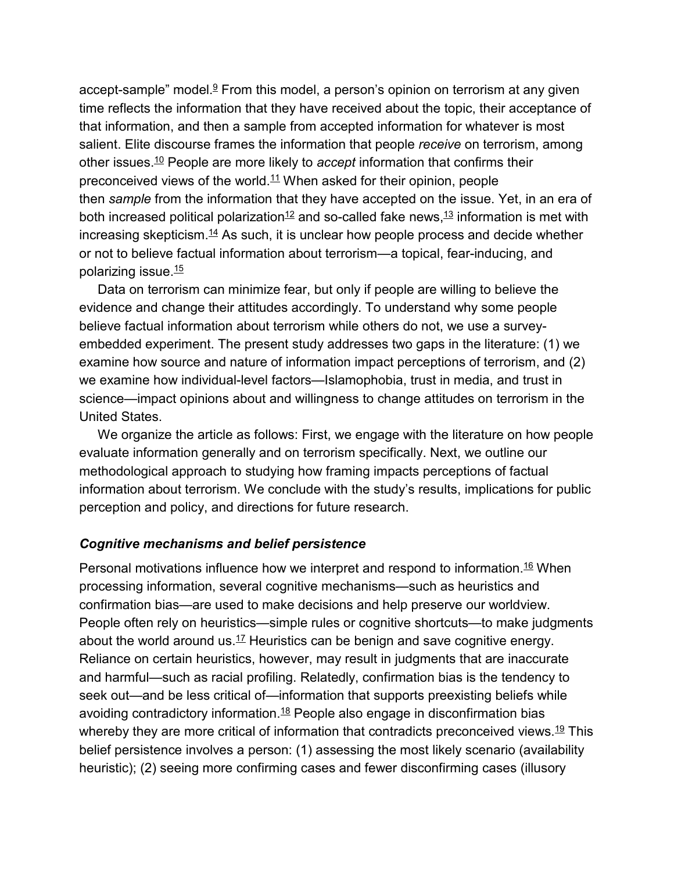accept-sample" model. $9$  From this model, a person's opinion on terrorism at any given time reflects the information that they have received about the topic, their acceptance of that information, and then a sample from accepted information for whatever is most salient. Elite discourse frames the information that people *receive* on terrorism, among other issues.[10](https://www.tandfonline.com/reader/content/17f2b9a20d8/10.1080/1057610X.2018.1543145/format/epub/EPUB/xhtml/index.xhtml#EN10) People are more likely to *accept* information that confirms their preconceived views of the world[.11](https://www.tandfonline.com/reader/content/17f2b9a20d8/10.1080/1057610X.2018.1543145/format/epub/EPUB/xhtml/index.xhtml#EN11) When asked for their opinion, people then *sample* from the information that they have accepted on the issue. Yet, in an era of both increased political polarization<sup>[12](https://www.tandfonline.com/reader/content/17f2b9a20d8/10.1080/1057610X.2018.1543145/format/epub/EPUB/xhtml/index.xhtml#EN12)</sup> and so-called fake news,<sup>[13](https://www.tandfonline.com/reader/content/17f2b9a20d8/10.1080/1057610X.2018.1543145/format/epub/EPUB/xhtml/index.xhtml#EN13)</sup> information is met with increasing skepticism. $14$  As such, it is unclear how people process and decide whether or not to believe factual information about terrorism—a topical, fear-inducing, and polarizing issue.[15](https://www.tandfonline.com/reader/content/17f2b9a20d8/10.1080/1057610X.2018.1543145/format/epub/EPUB/xhtml/index.xhtml#EN15)

Data on terrorism can minimize fear, but only if people are willing to believe the evidence and change their attitudes accordingly. To understand why some people believe factual information about terrorism while others do not, we use a surveyembedded experiment. The present study addresses two gaps in the literature: (1) we examine how source and nature of information impact perceptions of terrorism, and (2) we examine how individual-level factors—Islamophobia, trust in media, and trust in science—impact opinions about and willingness to change attitudes on terrorism in the United States.

We organize the article as follows: First, we engage with the literature on how people evaluate information generally and on terrorism specifically. Next, we outline our methodological approach to studying how framing impacts perceptions of factual information about terrorism. We conclude with the study's results, implications for public perception and policy, and directions for future research.

#### *Cognitive mechanisms and belief persistence*

Personal motivations influence how we interpret and respond to information.<sup>[16](https://www.tandfonline.com/reader/content/17f2b9a20d8/10.1080/1057610X.2018.1543145/format/epub/EPUB/xhtml/index.xhtml#EN16)</sup> When processing information, several cognitive mechanisms—such as heuristics and confirmation bias—are used to make decisions and help preserve our worldview. People often rely on heuristics—simple rules or cognitive shortcuts—to make judgments about the world around us.<sup>17</sup> Heuristics can be benign and save cognitive energy. Reliance on certain heuristics, however, may result in judgments that are inaccurate and harmful—such as racial profiling. Relatedly, confirmation bias is the tendency to seek out—and be less critical of—information that supports preexisting beliefs while avoiding contradictory information.<sup>18</sup> People also engage in disconfirmation bias whereby they are more critical of information that contradicts preconceived views.<sup>19</sup> This belief persistence involves a person: (1) assessing the most likely scenario (availability heuristic); (2) seeing more confirming cases and fewer disconfirming cases (illusory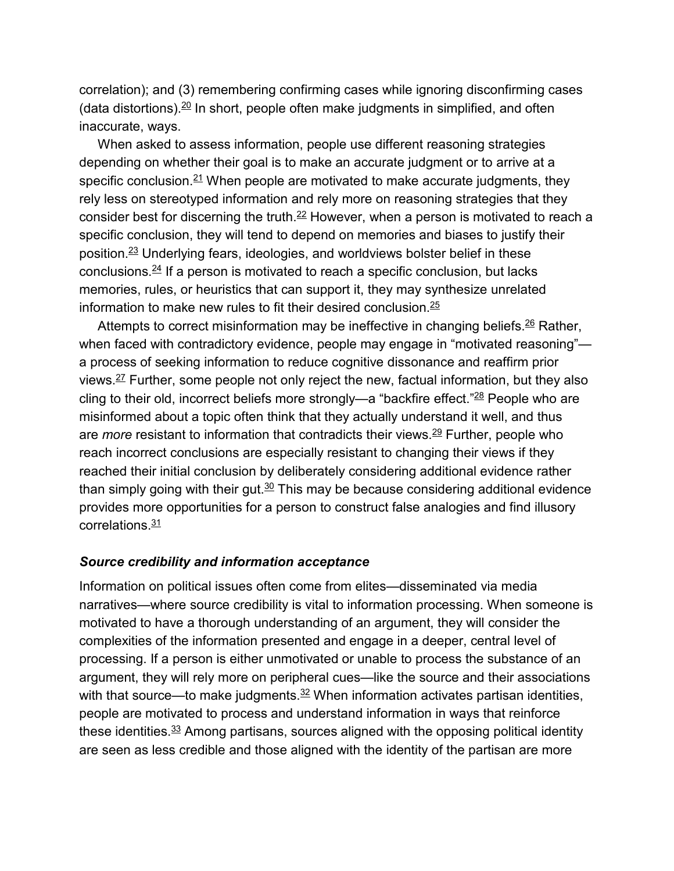correlation); and (3) remembering confirming cases while ignoring disconfirming cases (data distortions).<sup>[20](https://www.tandfonline.com/reader/content/17f2b9a20d8/10.1080/1057610X.2018.1543145/format/epub/EPUB/xhtml/index.xhtml#EN20)</sup> In short, people often make judgments in simplified, and often inaccurate, ways.

When asked to assess information, people use different reasoning strategies depending on whether their goal is to make an accurate judgment or to arrive at a specific conclusion. $21$  When people are motivated to make accurate judgments, they rely less on stereotyped information and rely more on reasoning strategies that they consider best for discerning the truth.<sup>[22](https://www.tandfonline.com/reader/content/17f2b9a20d8/10.1080/1057610X.2018.1543145/format/epub/EPUB/xhtml/index.xhtml#EN22)</sup> However, when a person is motivated to reach a specific conclusion, they will tend to depend on memories and biases to justify their position.[23](https://www.tandfonline.com/reader/content/17f2b9a20d8/10.1080/1057610X.2018.1543145/format/epub/EPUB/xhtml/index.xhtml#EN23) Underlying fears, ideologies, and worldviews bolster belief in these conclusions.[24](https://www.tandfonline.com/reader/content/17f2b9a20d8/10.1080/1057610X.2018.1543145/format/epub/EPUB/xhtml/index.xhtml#EN24) If a person is motivated to reach a specific conclusion, but lacks memories, rules, or heuristics that can support it, they may synthesize unrelated information to make new rules to fit their desired conclusion.[25](https://www.tandfonline.com/reader/content/17f2b9a20d8/10.1080/1057610X.2018.1543145/format/epub/EPUB/xhtml/index.xhtml#EN25)

Attempts to correct misinformation may be ineffective in changing beliefs.<sup>[26](https://www.tandfonline.com/reader/content/17f2b9a20d8/10.1080/1057610X.2018.1543145/format/epub/EPUB/xhtml/index.xhtml#EN26)</sup> Rather, when faced with contradictory evidence, people may engage in "motivated reasoning" a process of seeking information to reduce cognitive dissonance and reaffirm prior views. $27$  Further, some people not only reject the new, factual information, but they also cling to their old, incorrect beliefs more strongly—a "backfire effect."<sup>[28](https://www.tandfonline.com/reader/content/17f2b9a20d8/10.1080/1057610X.2018.1543145/format/epub/EPUB/xhtml/index.xhtml#EN28)</sup> People who are misinformed about a topic often think that they actually understand it well, and thus are *more* resistant to information that contradicts their views.[29](https://www.tandfonline.com/reader/content/17f2b9a20d8/10.1080/1057610X.2018.1543145/format/epub/EPUB/xhtml/index.xhtml#EN29) Further, people who reach incorrect conclusions are especially resistant to changing their views if they reached their initial conclusion by deliberately considering additional evidence rather than simply going with their gut. $30$  This may be because considering additional evidence provides more opportunities for a person to construct false analogies and find illusory correlations. $\frac{31}{2}$  $\frac{31}{2}$  $\frac{31}{2}$ 

#### *Source credibility and information acceptance*

Information on political issues often come from elites—disseminated via media narratives—where source credibility is vital to information processing. When someone is motivated to have a thorough understanding of an argument, they will consider the complexities of the information presented and engage in a deeper, central level of processing. If a person is either unmotivated or unable to process the substance of an argument, they will rely more on peripheral cues—like the source and their associations with that source—to make judgments. $32$  When information activates partisan identities, people are motivated to process and understand information in ways that reinforce these identities. $33$  Among partisans, sources aligned with the opposing political identity are seen as less credible and those aligned with the identity of the partisan are more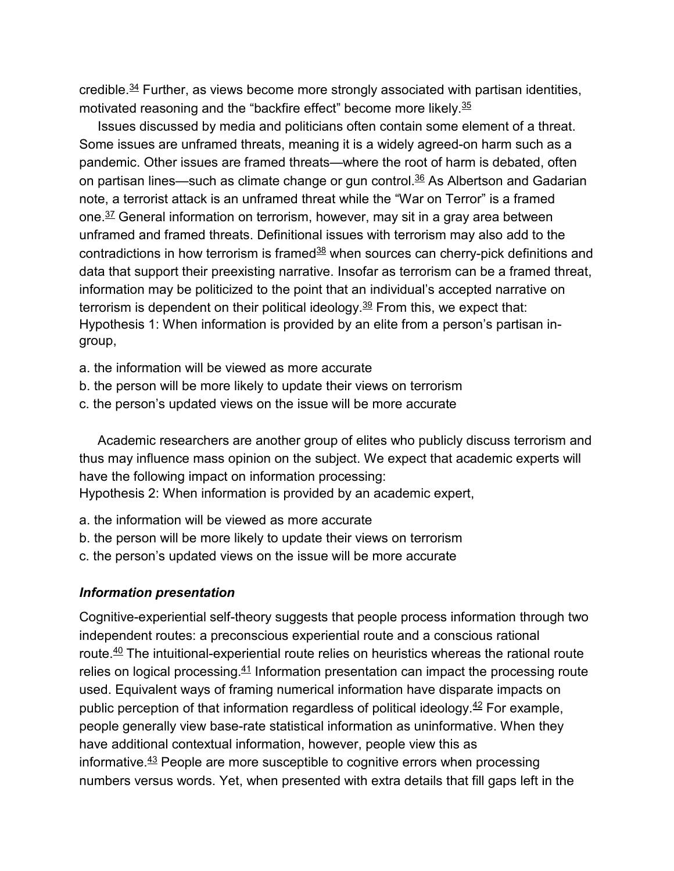credible.<sup>[34](https://www.tandfonline.com/reader/content/17f2b9a20d8/10.1080/1057610X.2018.1543145/format/epub/EPUB/xhtml/index.xhtml#EN34)</sup> Further, as views become more strongly associated with partisan identities, motivated reasoning and the "backfire effect" become more likely.<sup>[35](https://www.tandfonline.com/reader/content/17f2b9a20d8/10.1080/1057610X.2018.1543145/format/epub/EPUB/xhtml/index.xhtml#EN35)</sup>

Issues discussed by media and politicians often contain some element of a threat. Some issues are unframed threats, meaning it is a widely agreed-on harm such as a pandemic. Other issues are framed threats—where the root of harm is debated, often on partisan lines—such as climate change or gun control.<sup>[36](https://www.tandfonline.com/reader/content/17f2b9a20d8/10.1080/1057610X.2018.1543145/format/epub/EPUB/xhtml/index.xhtml#EN36)</sup> As Albertson and Gadarian note, a terrorist attack is an unframed threat while the "War on Terror" is a framed one.[37](https://www.tandfonline.com/reader/content/17f2b9a20d8/10.1080/1057610X.2018.1543145/format/epub/EPUB/xhtml/index.xhtml#EN37) General information on terrorism, however, may sit in a gray area between unframed and framed threats. Definitional issues with terrorism may also add to the contradictions in how terrorism is framed<sup>[38](https://www.tandfonline.com/reader/content/17f2b9a20d8/10.1080/1057610X.2018.1543145/format/epub/EPUB/xhtml/index.xhtml#EN38)</sup> when sources can cherry-pick definitions and data that support their preexisting narrative. Insofar as terrorism can be a framed threat, information may be politicized to the point that an individual's accepted narrative on terrorism is dependent on their political ideology. $39$  From this, we expect that: Hypothesis 1: When information is provided by an elite from a person's partisan ingroup,

- a. the information will be viewed as more accurate
- b. the person will be more likely to update their views on terrorism
- c. the person's updated views on the issue will be more accurate

Academic researchers are another group of elites who publicly discuss terrorism and thus may influence mass opinion on the subject. We expect that academic experts will have the following impact on information processing: Hypothesis 2: When information is provided by an academic expert,

- a. the information will be viewed as more accurate
- b. the person will be more likely to update their views on terrorism
- c. the person's updated views on the issue will be more accurate

#### *Information presentation*

Cognitive-experiential self-theory suggests that people process information through two independent routes: a preconscious experiential route and a conscious rational route. $40$  The intuitional-experiential route relies on heuristics whereas the rational route relies on logical processing. $41$  Information presentation can impact the processing route used. Equivalent ways of framing numerical information have disparate impacts on public perception of that information regardless of political ideology. $42$  For example, people generally view base-rate statistical information as uninformative. When they have additional contextual information, however, people view this as informative. $43$  People are more susceptible to cognitive errors when processing numbers versus words. Yet, when presented with extra details that fill gaps left in the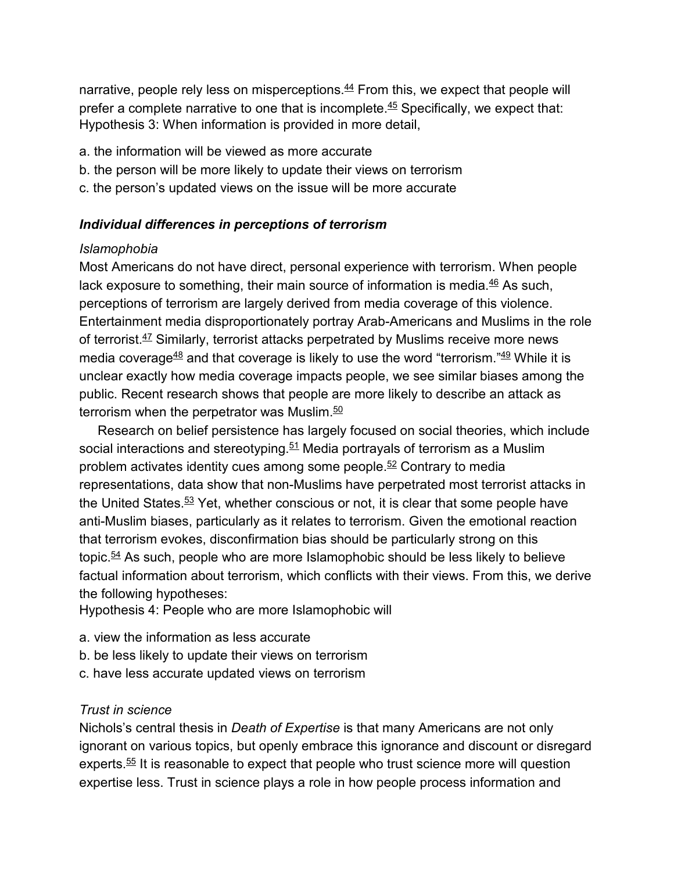narrative, people rely less on misperceptions. $44$  From this, we expect that people will prefer a complete narrative to one that is incomplete. $45$  Specifically, we expect that: Hypothesis 3: When information is provided in more detail,

- a. the information will be viewed as more accurate
- b. the person will be more likely to update their views on terrorism
- c. the person's updated views on the issue will be more accurate

#### *Individual differences in perceptions of terrorism*

#### *Islamophobia*

Most Americans do not have direct, personal experience with terrorism. When people lack exposure to something, their main source of information is media. $46$  As such, perceptions of terrorism are largely derived from media coverage of this violence. Entertainment media disproportionately portray Arab-Americans and Muslims in the role of terrorist.<sup>47</sup> Similarly, terrorist attacks perpetrated by Muslims receive more news media coverage<sup>48</sup> and that coverage is likely to use the word "terrorism."<sup>49</sup> While it is unclear exactly how media coverage impacts people, we see similar biases among the public. Recent research shows that people are more likely to describe an attack as terrorism when the perpetrator was Muslim. $50$ 

Research on belief persistence has largely focused on social theories, which include social interactions and stereotyping.<sup>[51](https://www.tandfonline.com/reader/content/17f2b9a20d8/10.1080/1057610X.2018.1543145/format/epub/EPUB/xhtml/index.xhtml#EN51)</sup> Media portrayals of terrorism as a Muslim problem activates identity cues among some people. $52$  Contrary to media representations, data show that non-Muslims have perpetrated most terrorist attacks in the United States. $53$  Yet, whether conscious or not, it is clear that some people have anti-Muslim biases, particularly as it relates to terrorism. Given the emotional reaction that terrorism evokes, disconfirmation bias should be particularly strong on this topic. $54$  As such, people who are more Islamophobic should be less likely to believe factual information about terrorism, which conflicts with their views. From this, we derive the following hypotheses:

Hypothesis 4: People who are more Islamophobic will

- a. view the information as less accurate
- b. be less likely to update their views on terrorism
- c. have less accurate updated views on terrorism

#### *Trust in science*

Nichols's central thesis in *Death of Expertise* is that many Americans are not only ignorant on various topics, but openly embrace this ignorance and discount or disregard experts. $55$  It is reasonable to expect that people who trust science more will question expertise less. Trust in science plays a role in how people process information and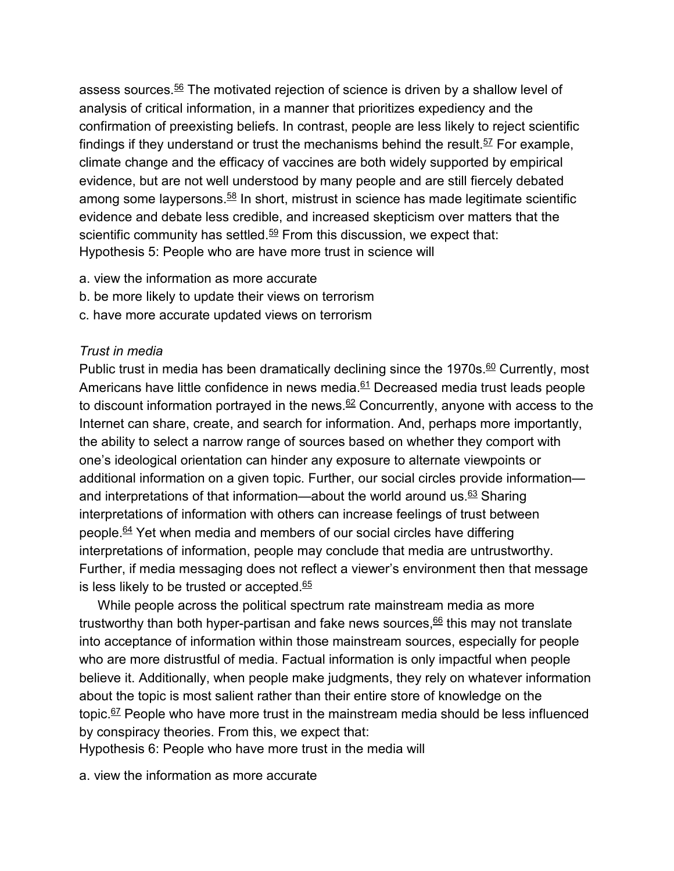assess sources.<sup>[56](https://www.tandfonline.com/reader/content/17f2b9a20d8/10.1080/1057610X.2018.1543145/format/epub/EPUB/xhtml/index.xhtml#EN56)</sup> The motivated rejection of science is driven by a shallow level of analysis of critical information, in a manner that prioritizes expediency and the confirmation of preexisting beliefs. In contrast, people are less likely to reject scientific findings if they understand or trust the mechanisms behind the result. $57$  For example, climate change and the efficacy of vaccines are both widely supported by empirical evidence, but are not well understood by many people and are still fiercely debated among some laypersons. $58$  In short, mistrust in science has made legitimate scientific evidence and debate less credible, and increased skepticism over matters that the scientific community has settled.<sup>[59](https://www.tandfonline.com/reader/content/17f2b9a20d8/10.1080/1057610X.2018.1543145/format/epub/EPUB/xhtml/index.xhtml#EN59)</sup> From this discussion, we expect that: Hypothesis 5: People who are have more trust in science will

- a. view the information as more accurate
- b. be more likely to update their views on terrorism
- c. have more accurate updated views on terrorism

#### *Trust in media*

Public trust in media has been dramatically declining since the 1970s. $60$  Currently, most Americans have little confidence in news media.<sup>[61](https://www.tandfonline.com/reader/content/17f2b9a20d8/10.1080/1057610X.2018.1543145/format/epub/EPUB/xhtml/index.xhtml#EN61)</sup> Decreased media trust leads people to discount information portrayed in the news. $62$  Concurrently, anyone with access to the Internet can share, create, and search for information. And, perhaps more importantly, the ability to select a narrow range of sources based on whether they comport with one's ideological orientation can hinder any exposure to alternate viewpoints or additional information on a given topic. Further, our social circles provide information and interpretations of that information—about the world around us. $63$  Sharing interpretations of information with others can increase feelings of trust between people.<sup>[64](https://www.tandfonline.com/reader/content/17f2b9a20d8/10.1080/1057610X.2018.1543145/format/epub/EPUB/xhtml/index.xhtml#EN64)</sup> Yet when media and members of our social circles have differing interpretations of information, people may conclude that media are untrustworthy. Further, if media messaging does not reflect a viewer's environment then that message is less likely to be trusted or accepted. $65$ 

While people across the political spectrum rate mainstream media as more trustworthy than both hyper-partisan and fake news sources,  $66$  this may not translate into acceptance of information within those mainstream sources, especially for people who are more distrustful of media. Factual information is only impactful when people believe it. Additionally, when people make judgments, they rely on whatever information about the topic is most salient rather than their entire store of knowledge on the topic. $67$  People who have more trust in the mainstream media should be less influenced by conspiracy theories. From this, we expect that:

Hypothesis 6: People who have more trust in the media will

a. view the information as more accurate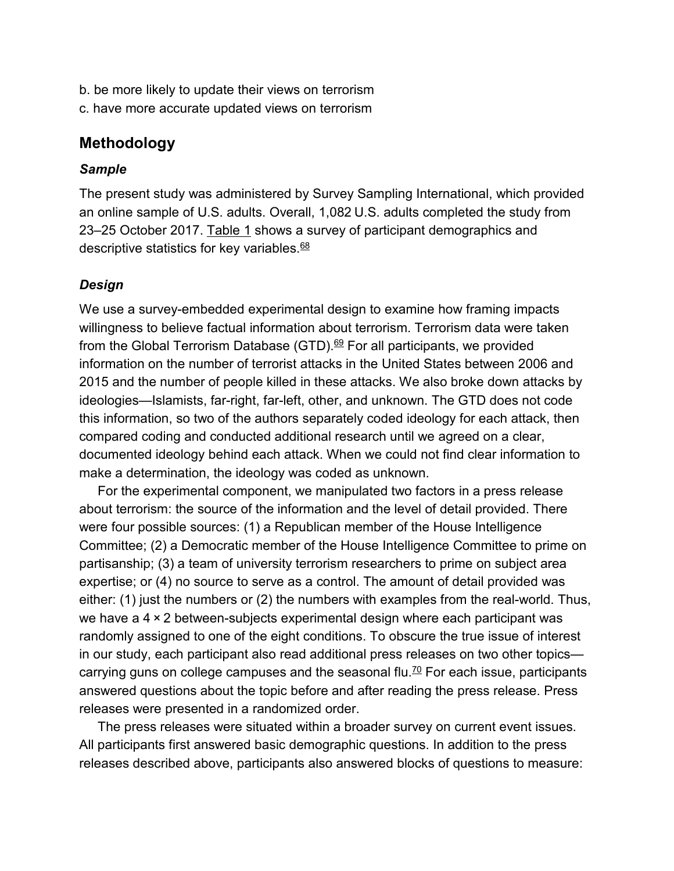- b. be more likely to update their views on terrorism
- c. have more accurate updated views on terrorism

## **Methodology**

#### *Sample*

The present study was administered by Survey Sampling International, which provided an online sample of U.S. adults. Overall, 1,082 U.S. adults completed the study from 23–25 October 2017. [Table 1](https://www.tandfonline.com/reader/content/17f2b9a20d8/10.1080/1057610X.2018.1543145/format/epub/EPUB/xhtml/t0001.xhtml) shows a survey of participant demographics and descriptive statistics for key variables. $68$ 

#### *Design*

We use a survey-embedded experimental design to examine how framing impacts willingness to believe factual information about terrorism. Terrorism data were taken from the Global Terrorism Database (GTD). $69$  For all participants, we provided information on the number of terrorist attacks in the United States between 2006 and 2015 and the number of people killed in these attacks. We also broke down attacks by ideologies—Islamists, far-right, far-left, other, and unknown. The GTD does not code this information, so two of the authors separately coded ideology for each attack, then compared coding and conducted additional research until we agreed on a clear, documented ideology behind each attack. When we could not find clear information to make a determination, the ideology was coded as unknown.

For the experimental component, we manipulated two factors in a press release about terrorism: the source of the information and the level of detail provided. There were four possible sources: (1) a Republican member of the House Intelligence Committee; (2) a Democratic member of the House Intelligence Committee to prime on partisanship; (3) a team of university terrorism researchers to prime on subject area expertise; or (4) no source to serve as a control. The amount of detail provided was either: (1) just the numbers or (2) the numbers with examples from the real-world. Thus, we have a 4 × 2 between-subjects experimental design where each participant was randomly assigned to one of the eight conditions. To obscure the true issue of interest in our study, each participant also read additional press releases on two other topics— carrying guns on college campuses and the seasonal flu.<sup>[70](https://www.tandfonline.com/reader/content/17f2b9a20d8/10.1080/1057610X.2018.1543145/format/epub/EPUB/xhtml/index.xhtml#EN70)</sup> For each issue, participants answered questions about the topic before and after reading the press release. Press releases were presented in a randomized order.

The press releases were situated within a broader survey on current event issues. All participants first answered basic demographic questions. In addition to the press releases described above, participants also answered blocks of questions to measure: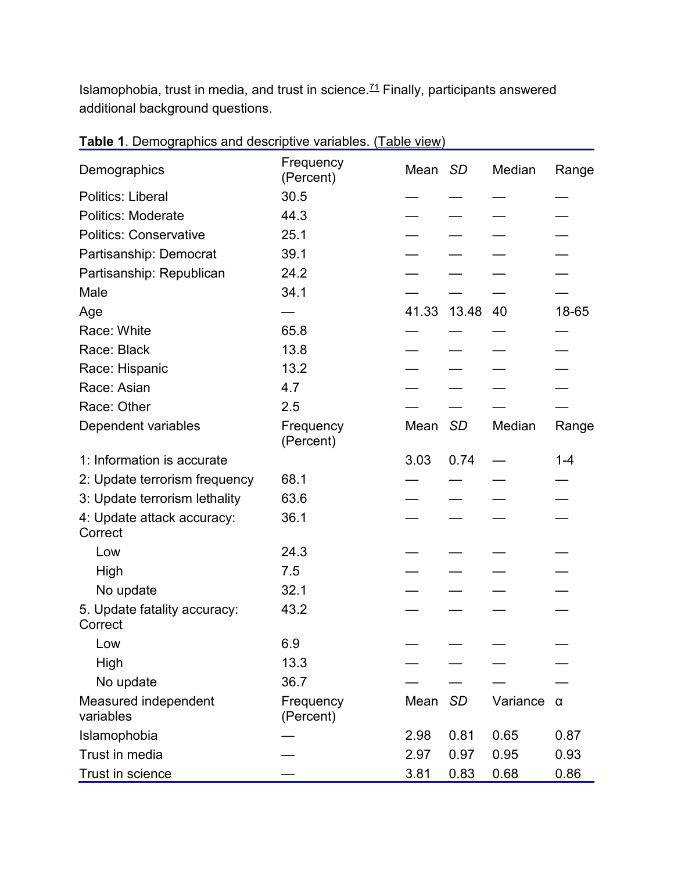Islamophobia, trust in media, and trust in science. $71$  Finally, participants answered additional background questions.

| Demographics                            | Frequency<br>(Percent) | Mean SD |           | Median   | Range   |
|-----------------------------------------|------------------------|---------|-----------|----------|---------|
| <b>Politics: Liberal</b>                | 30.5                   |         |           |          |         |
| <b>Politics: Moderate</b>               | 44.3                   |         |           |          |         |
| <b>Politics: Conservative</b>           | 25.1                   |         |           |          |         |
| Partisanship: Democrat                  | 39.1                   |         |           |          |         |
| Partisanship: Republican                | 24.2                   |         |           |          |         |
| Male                                    | 34.1                   |         |           |          |         |
| Age                                     |                        | 41.33   | 13.48     | 40       | 18-65   |
| Race: White                             | 65.8                   |         |           |          |         |
| Race: Black                             | 13.8                   |         |           |          |         |
| Race: Hispanic                          | 13.2                   |         |           |          |         |
| Race: Asian                             | 4.7                    |         |           |          |         |
| Race: Other                             | 2.5                    |         |           |          |         |
| Dependent variables                     | Frequency<br>(Percent) | Mean    | <b>SD</b> | Median   | Range   |
| 1: Information is accurate              |                        | 3.03    | 0.74      |          | $1 - 4$ |
| 2: Update terrorism frequency           | 68.1                   |         |           |          |         |
| 3: Update terrorism lethality           | 63.6                   |         |           |          |         |
| 4: Update attack accuracy:<br>Correct   | 36.1                   |         |           |          |         |
| Low                                     | 24.3                   |         |           |          |         |
| High                                    | 7.5                    |         |           |          |         |
| No update                               | 32.1                   |         |           |          |         |
| 5. Update fatality accuracy:<br>Correct | 43.2                   |         |           |          |         |
| Low                                     | 6.9                    |         |           |          |         |
| High                                    | 13.3                   |         |           |          |         |
| No update                               | 36.7                   |         |           |          |         |
| Measured independent<br>variables       | Frequency<br>(Percent) | Mean    | <b>SD</b> | Variance | α       |
| Islamophobia                            |                        | 2.98    | 0.81      | 0.65     | 0.87    |
| Trust in media                          |                        | 2.97    | 0.97      | 0.95     | 0.93    |
| Trust in science                        |                        | 3.81    | 0.83      | 0.68     | 0.86    |

**Table 1**. Demographics and descriptive variables. [\(Table view\)](https://www.tandfonline.com/reader/content/17f2b9a20d8/10.1080/1057610X.2018.1543145/format/epub/EPUB/xhtml/t0001.xhtml)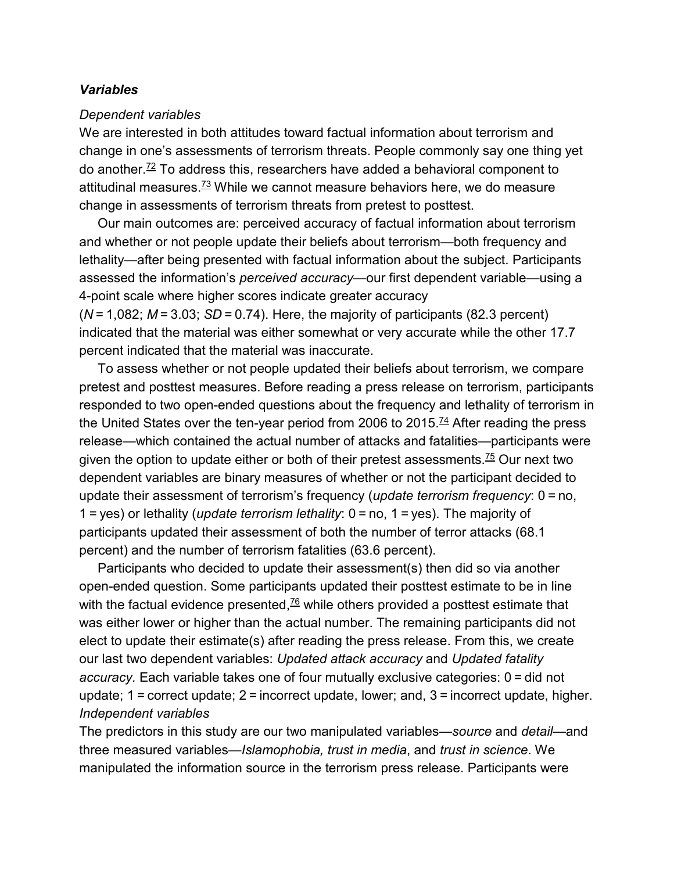#### *Variables*

#### *Dependent variables*

We are interested in both attitudes toward factual information about terrorism and change in one's assessments of terrorism threats. People commonly say one thing yet do another.<sup> $72$ </sup> To address this, researchers have added a behavioral component to attitudinal measures. $73$  While we cannot measure behaviors here, we do measure change in assessments of terrorism threats from pretest to posttest.

Our main outcomes are: perceived accuracy of factual information about terrorism and whether or not people update their beliefs about terrorism—both frequency and lethality—after being presented with factual information about the subject. Participants assessed the information's *perceived accuracy*—our first dependent variable—using a 4-point scale where higher scores indicate greater accuracy

(*N* = 1,082; *M* = 3.03; *SD* = 0.74). Here, the majority of participants (82.3 percent) indicated that the material was either somewhat or very accurate while the other 17.7 percent indicated that the material was inaccurate.

To assess whether or not people updated their beliefs about terrorism, we compare pretest and posttest measures. Before reading a press release on terrorism, participants responded to two open-ended questions about the frequency and lethality of terrorism in the United States over the ten-year period from 2006 to 2015.<sup>[74](https://www.tandfonline.com/reader/content/17f2b9a20d8/10.1080/1057610X.2018.1543145/format/epub/EPUB/xhtml/index.xhtml#EN74)</sup> After reading the press release—which contained the actual number of attacks and fatalities—participants were given the option to update either or both of their pretest assessments.<sup>[75](https://www.tandfonline.com/reader/content/17f2b9a20d8/10.1080/1057610X.2018.1543145/format/epub/EPUB/xhtml/index.xhtml#EN75)</sup> Our next two dependent variables are binary measures of whether or not the participant decided to update their assessment of terrorism's frequency (*update terrorism frequency*: 0 = no, 1 = yes) or lethality (*update terrorism lethality*: 0 = no, 1 = yes). The majority of participants updated their assessment of both the number of terror attacks (68.1 percent) and the number of terrorism fatalities (63.6 percent).

Participants who decided to update their assessment(s) then did so via another open-ended question. Some participants updated their posttest estimate to be in line with the factual evidence presented, $\frac{76}{6}$  $\frac{76}{6}$  $\frac{76}{6}$  while others provided a posttest estimate that was either lower or higher than the actual number. The remaining participants did not elect to update their estimate(s) after reading the press release. From this, we create our last two dependent variables: *Updated attack accuracy* and *Updated fatality accuracy.* Each variable takes one of four mutually exclusive categories: 0 = did not update; 1 = correct update; 2 = incorrect update, lower; and, 3 = incorrect update, higher. *Independent variables*

The predictors in this study are our two manipulated variables—*source* and *detail*—and three measured variables—*Islamophobia, trust in media*, and *trust in science*. We manipulated the information source in the terrorism press release. Participants were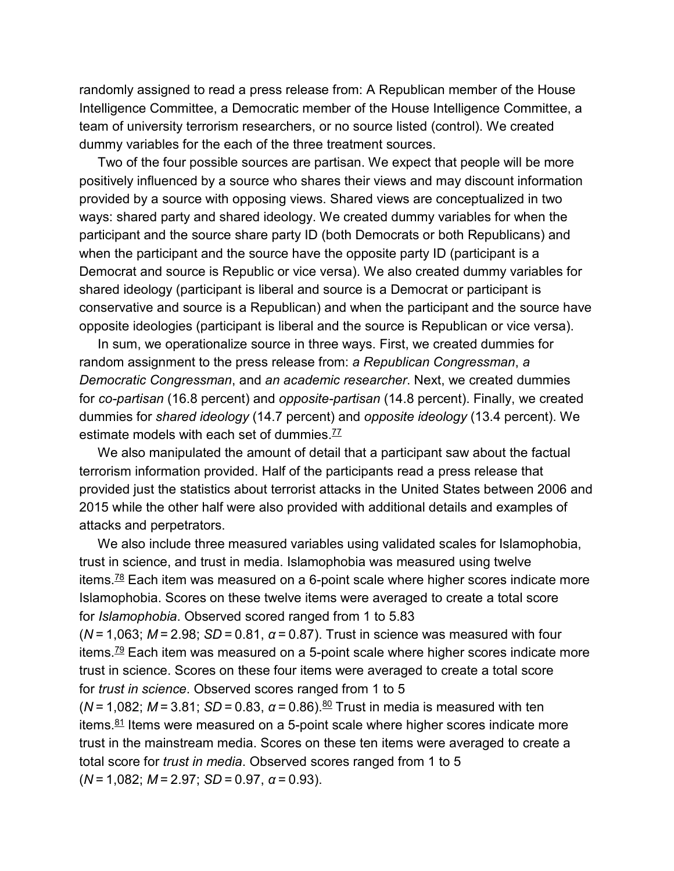randomly assigned to read a press release from: A Republican member of the House Intelligence Committee, a Democratic member of the House Intelligence Committee, a team of university terrorism researchers, or no source listed (control). We created dummy variables for the each of the three treatment sources.

Two of the four possible sources are partisan. We expect that people will be more positively influenced by a source who shares their views and may discount information provided by a source with opposing views. Shared views are conceptualized in two ways: shared party and shared ideology. We created dummy variables for when the participant and the source share party ID (both Democrats or both Republicans) and when the participant and the source have the opposite party ID (participant is a Democrat and source is Republic or vice versa). We also created dummy variables for shared ideology (participant is liberal and source is a Democrat or participant is conservative and source is a Republican) and when the participant and the source have opposite ideologies (participant is liberal and the source is Republican or vice versa).

In sum, we operationalize source in three ways. First, we created dummies for random assignment to the press release from: *a Republican Congressman*, *a Democratic Congressman*, and *an academic researcher*. Next, we created dummies for *co-partisan* (16.8 percent) and *opposite-partisan* (14.8 percent). Finally, we created dummies for *shared ideology* (14.7 percent) and *opposite ideology* (13.4 percent). We estimate models with each set of dummies. $\frac{77}{6}$ 

We also manipulated the amount of detail that a participant saw about the factual terrorism information provided. Half of the participants read a press release that provided just the statistics about terrorist attacks in the United States between 2006 and 2015 while the other half were also provided with additional details and examples of attacks and perpetrators.

We also include three measured variables using validated scales for Islamophobia, trust in science, and trust in media. Islamophobia was measured using twelve items.<sup>78</sup> Each item was measured on a 6-point scale where higher scores indicate more Islamophobia. Scores on these twelve items were averaged to create a total score for *Islamophobia*. Observed scored ranged from 1 to 5.83

(*N* = 1,063; *M* = 2.98; *SD* = 0.81, *α* = 0.87). Trust in science was measured with four items.<sup>79</sup> Each item was measured on a 5-point scale where higher scores indicate more trust in science. Scores on these four items were averaged to create a total score for *trust in science*. Observed scores ranged from 1 to 5

(*N* = 1,082; *M* = 3.81; *SD* = 0.83, *α* = 0.86)[.80](https://www.tandfonline.com/reader/content/17f2b9a20d8/10.1080/1057610X.2018.1543145/format/epub/EPUB/xhtml/index.xhtml#EN80) Trust in media is measured with ten items. $81$  Items were measured on a 5-point scale where higher scores indicate more trust in the mainstream media. Scores on these ten items were averaged to create a total score for *trust in media*. Observed scores ranged from 1 to 5 (*N* = 1,082; *M* = 2.97; *SD* = 0.97, *α* = 0.93).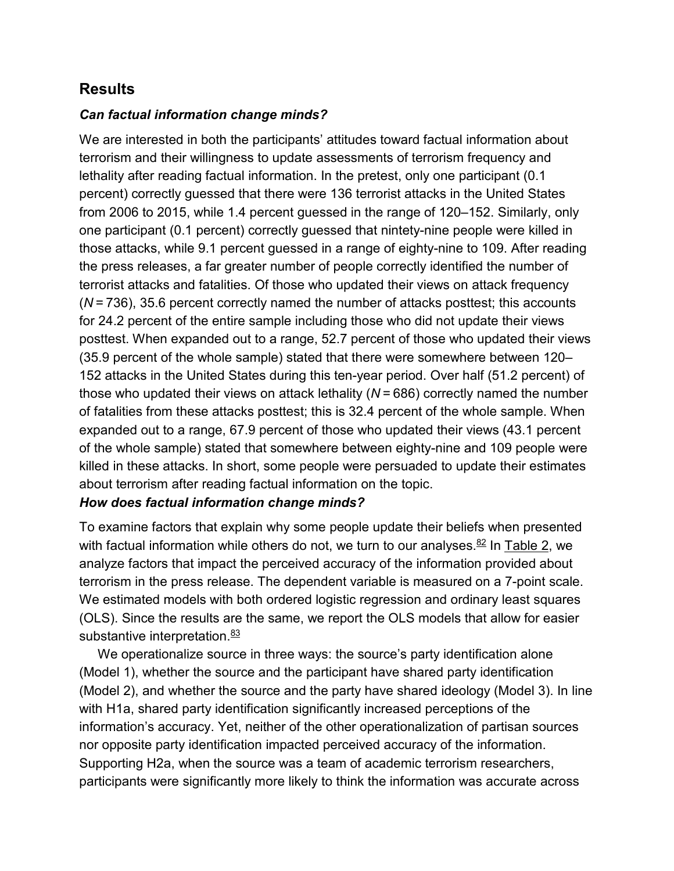# **Results**

## *Can factual information change minds?*

We are interested in both the participants' attitudes toward factual information about terrorism and their willingness to update assessments of terrorism frequency and lethality after reading factual information. In the pretest, only one participant (0.1 percent) correctly guessed that there were 136 terrorist attacks in the United States from 2006 to 2015, while 1.4 percent guessed in the range of 120–152. Similarly, only one participant (0.1 percent) correctly guessed that nintety-nine people were killed in those attacks, while 9.1 percent guessed in a range of eighty-nine to 109. After reading the press releases, a far greater number of people correctly identified the number of terrorist attacks and fatalities. Of those who updated their views on attack frequency (*N* = 736), 35.6 percent correctly named the number of attacks posttest; this accounts for 24.2 percent of the entire sample including those who did not update their views posttest. When expanded out to a range, 52.7 percent of those who updated their views (35.9 percent of the whole sample) stated that there were somewhere between 120– 152 attacks in the United States during this ten-year period. Over half (51.2 percent) of those who updated their views on attack lethality (*N* = 686) correctly named the number of fatalities from these attacks posttest; this is 32.4 percent of the whole sample. When expanded out to a range, 67.9 percent of those who updated their views (43.1 percent of the whole sample) stated that somewhere between eighty-nine and 109 people were killed in these attacks. In short, some people were persuaded to update their estimates about terrorism after reading factual information on the topic.

## *How does factual information change minds?*

To examine factors that explain why some people update their beliefs when presented with factual information while others do not, we turn to our analyses. $82$  In [Table 2](https://www.tandfonline.com/reader/content/17f2b9a20d8/10.1080/1057610X.2018.1543145/format/epub/EPUB/xhtml/t0002.xhtml), we analyze factors that impact the perceived accuracy of the information provided about terrorism in the press release. The dependent variable is measured on a 7-point scale. We estimated models with both ordered logistic regression and ordinary least squares (OLS). Since the results are the same, we report the OLS models that allow for easier substantive interpretation.<sup>[83](https://www.tandfonline.com/reader/content/17f2b9a20d8/10.1080/1057610X.2018.1543145/format/epub/EPUB/xhtml/index.xhtml#EN83)</sup>

We operationalize source in three ways: the source's party identification alone (Model 1), whether the source and the participant have shared party identification (Model 2), and whether the source and the party have shared ideology (Model 3). In line with H1a, shared party identification significantly increased perceptions of the information's accuracy. Yet, neither of the other operationalization of partisan sources nor opposite party identification impacted perceived accuracy of the information. Supporting H2a, when the source was a team of academic terrorism researchers, participants were significantly more likely to think the information was accurate across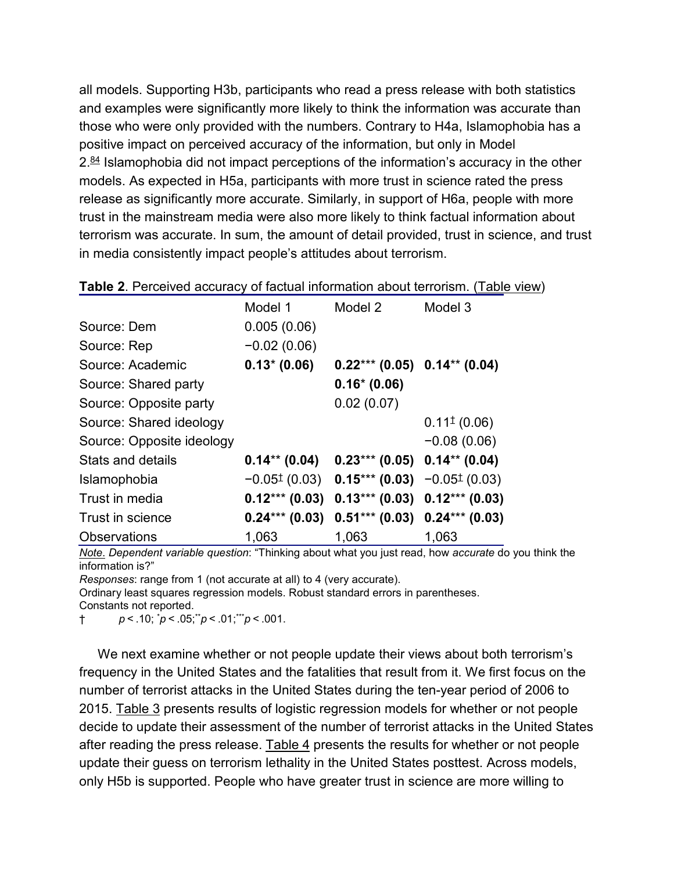all models. Supporting H3b, participants who read a press release with both statistics and examples were significantly more likely to think the information was accurate than those who were only provided with the numbers. Contrary to H4a, Islamophobia has a positive impact on perceived accuracy of the information, but only in Model  $2.\overline{84}$  $2.\overline{84}$  $2.\overline{84}$  Islamophobia did not impact perceptions of the information's accuracy in the other models. As expected in H5a, participants with more trust in science rated the press release as significantly more accurate. Similarly, in support of H6a, people with more trust in the mainstream media were also more likely to think factual information about terrorism was accurate. In sum, the amount of detail provided, trust in science, and trust in media consistently impact people's attitudes about terrorism.

|                           | Model 1          | Model 2                                                            | Model 3                  |
|---------------------------|------------------|--------------------------------------------------------------------|--------------------------|
| Source: Dem               | 0.005(0.06)      |                                                                    |                          |
| Source: Rep               | $-0.02(0.06)$    |                                                                    |                          |
| Source: Academic          | $0.13* (0.06)$   | $0.22***$ (0.05) $0.14**$ (0.04)                                   |                          |
| Source: Shared party      |                  | $0.16^{*}$ (0.06)                                                  |                          |
| Source: Opposite party    |                  | 0.02(0.07)                                                         |                          |
| Source: Shared ideology   |                  |                                                                    | $0.11^{\text{t}}$ (0.06) |
| Source: Opposite ideology |                  |                                                                    | $-0.08(0.06)$            |
| Stats and details         | $0.14***$ (0.04) | $0.23***$ (0.05) $0.14**$ (0.04)                                   |                          |
| Islamophobia              |                  | $-0.05^{\text{t}}$ (0.03) 0.15*** (0.03) $-0.05^{\text{t}}$ (0.03) |                          |
| Trust in media            | $0.12***(0.03)$  | $0.13***$ (0.03) $0.12***$ (0.03)                                  |                          |
| Trust in science          | $0.24***(0.03)$  | $0.51***$ (0.03) $0.24***$ (0.03)                                  |                          |
| <b>Observations</b>       | 1,063            | 1,063                                                              | 1,063                    |

#### **Table 2**. Perceived accuracy of factual information about terrorism. [\(Table view\)](https://www.tandfonline.com/reader/content/17f2b9a20d8/10.1080/1057610X.2018.1543145/format/epub/EPUB/xhtml/t0002.xhtml)

*Note*. *Dependent variable question*: "Thinking about what you just read, how *accurate* do you think the information is?"

*Responses*: range from 1 (not accurate at all) to 4 (very accurate).

Ordinary least squares regression models. Robust standard errors in parentheses.

Constants not reported.

† *p* < .10; \* *p* < .05;\*\**p* < .01;\*\*\**p* < .001.

We next examine whether or not people update their views about both terrorism's frequency in the United States and the fatalities that result from it. We first focus on the number of terrorist attacks in the United States during the ten-year period of 2006 to 2015. [Table 3](https://www.tandfonline.com/reader/content/17f2b9a20d8/10.1080/1057610X.2018.1543145/format/epub/EPUB/xhtml/t0003.xhtml) presents results of logistic regression models for whether or not people decide to update their assessment of the number of terrorist attacks in the United States after reading the press release. [Table 4](https://www.tandfonline.com/reader/content/17f2b9a20d8/10.1080/1057610X.2018.1543145/format/epub/EPUB/xhtml/t0004.xhtml) presents the results for whether or not people update their guess on terrorism lethality in the United States posttest. Across models, only H5b is supported. People who have greater trust in science are more willing to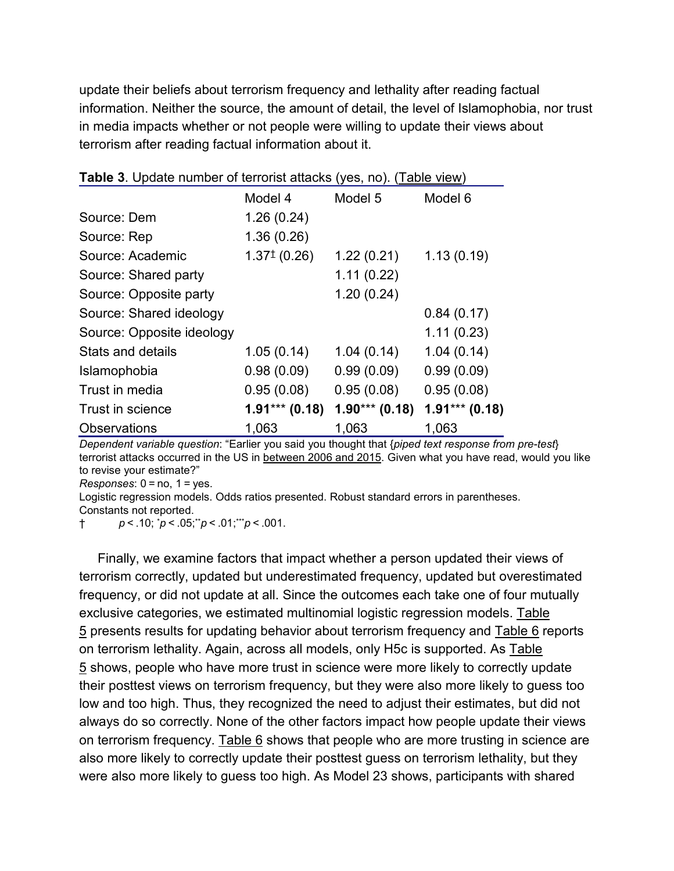update their beliefs about terrorism frequency and lethality after reading factual information. Neither the source, the amount of detail, the level of Islamophobia, nor trust in media impacts whether or not people were willing to update their views about terrorism after reading factual information about it.

|                           | <b>Table 3</b> . Update number of terrorist attacks (yes, ho).<br>(Table View) |                  |                  |  |  |  |  |  |  |  |
|---------------------------|--------------------------------------------------------------------------------|------------------|------------------|--|--|--|--|--|--|--|
|                           | Model 4                                                                        | Model 5          | Model 6          |  |  |  |  |  |  |  |
| Source: Dem               | 1.26(0.24)                                                                     |                  |                  |  |  |  |  |  |  |  |
| Source: Rep               | 1.36(0.26)                                                                     |                  |                  |  |  |  |  |  |  |  |
| Source: Academic          | $1.37^{\text{t}}$ (0.26)                                                       | 1.22(0.21)       | 1.13(0.19)       |  |  |  |  |  |  |  |
| Source: Shared party      |                                                                                | 1.11(0.22)       |                  |  |  |  |  |  |  |  |
| Source: Opposite party    |                                                                                | 1.20(0.24)       |                  |  |  |  |  |  |  |  |
| Source: Shared ideology   |                                                                                |                  | 0.84(0.17)       |  |  |  |  |  |  |  |
| Source: Opposite ideology |                                                                                |                  | 1.11(0.23)       |  |  |  |  |  |  |  |
| Stats and details         | 1.05(0.14)                                                                     | 1.04(0.14)       | 1.04(0.14)       |  |  |  |  |  |  |  |
| Islamophobia              | 0.98(0.09)                                                                     | 0.99(0.09)       | 0.99(0.09)       |  |  |  |  |  |  |  |
| Trust in media            | 0.95(0.08)                                                                     | 0.95(0.08)       | 0.95(0.08)       |  |  |  |  |  |  |  |
| Trust in science          | $1.91***$ (0.18)                                                               | $1.90***$ (0.18) | $1.91***$ (0.18) |  |  |  |  |  |  |  |
| <b>Observations</b>       | 1,063                                                                          | 1,063            | 1,063            |  |  |  |  |  |  |  |

**Table 3**. Update number of terrorist attacks (yes, no). [\(Table view\)](https://www.tandfonline.com/reader/content/17f2b9a20d8/10.1080/1057610X.2018.1543145/format/epub/EPUB/xhtml/t0003.xhtml)

*Dependent variable question*: "Earlier you said you thought that {*piped text response from pre-test*} terrorist attacks occurred in the US in between 2006 and 2015. Given what you have read, would you like to revise your estimate?"

*Responses*: 0 = no, 1 = yes.

Logistic regression models. Odds ratios presented. Robust standard errors in parentheses.

Constants not reported.

† *p* < .10; \* *p* < .05;\*\**p* < .01;\*\*\**p* < .001.

Finally, we examine factors that impact whether a person updated their views of terrorism correctly, updated but underestimated frequency, updated but overestimated frequency, or did not update at all. Since the outcomes each take one of four mutually exclusive categories, we estimated multinomial logistic regression models. [Table](https://www.tandfonline.com/reader/content/17f2b9a20d8/10.1080/1057610X.2018.1543145/format/epub/EPUB/xhtml/t0005.xhtml)  [5](https://www.tandfonline.com/reader/content/17f2b9a20d8/10.1080/1057610X.2018.1543145/format/epub/EPUB/xhtml/t0005.xhtml) presents results for updating behavior about terrorism frequency and [Table 6](https://www.tandfonline.com/reader/content/17f2b9a20d8/10.1080/1057610X.2018.1543145/format/epub/EPUB/xhtml/t0006.xhtml) reports on terrorism lethality. Again, across all models, only H5c is supported. As [Table](https://www.tandfonline.com/reader/content/17f2b9a20d8/10.1080/1057610X.2018.1543145/format/epub/EPUB/xhtml/t0005.xhtml)  [5](https://www.tandfonline.com/reader/content/17f2b9a20d8/10.1080/1057610X.2018.1543145/format/epub/EPUB/xhtml/t0005.xhtml) shows, people who have more trust in science were more likely to correctly update their posttest views on terrorism frequency, but they were also more likely to guess too low and too high. Thus, they recognized the need to adjust their estimates, but did not always do so correctly. None of the other factors impact how people update their views on terrorism frequency. [Table 6](https://www.tandfonline.com/reader/content/17f2b9a20d8/10.1080/1057610X.2018.1543145/format/epub/EPUB/xhtml/t0006.xhtml) shows that people who are more trusting in science are also more likely to correctly update their posttest guess on terrorism lethality, but they were also more likely to guess too high. As Model 23 shows, participants with shared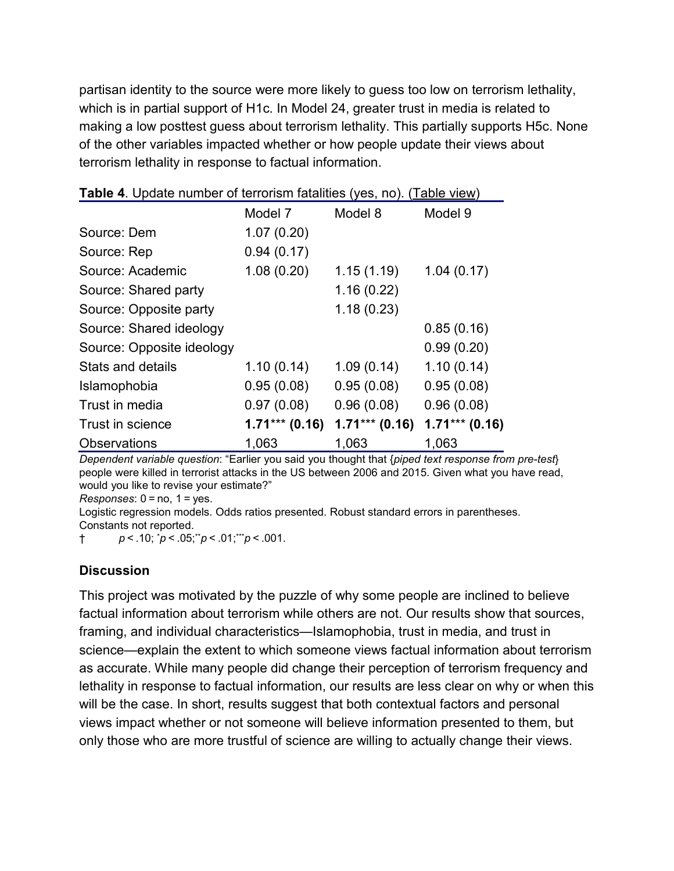partisan identity to the source were more likely to guess too low on terrorism lethality, which is in partial support of H1c. In Model 24, greater trust in media is related to making a low posttest guess about terrorism lethality. This partially supports H5c. None of the other variables impacted whether or how people update their views about terrorism lethality in response to factual information.

|                           | Model 7          | Model 8          | Model 9          |
|---------------------------|------------------|------------------|------------------|
| Source: Dem               | 1.07(0.20)       |                  |                  |
| Source: Rep               | 0.94(0.17)       |                  |                  |
| Source: Academic          | 1.08(0.20)       | 1.15(1.19)       | 1.04(0.17)       |
| Source: Shared party      |                  | 1.16(0.22)       |                  |
| Source: Opposite party    |                  | 1.18(0.23)       |                  |
| Source: Shared ideology   |                  |                  | 0.85(0.16)       |
| Source: Opposite ideology |                  |                  | 0.99(0.20)       |
| Stats and details         | 1.10(0.14)       | 1.09(0.14)       | 1.10(0.14)       |
| Islamophobia              | 0.95(0.08)       | 0.95(0.08)       | 0.95(0.08)       |
| Trust in media            | 0.97(0.08)       | 0.96(0.08)       | 0.96(0.08)       |
| Trust in science          | $1.71***$ (0.16) | $1.71***$ (0.16) | $1.71***$ (0.16) |
| <b>Observations</b>       | 1,063            | 1,063            | 1,063            |

#### **Table 4**. Update number of terrorism fatalities (yes, no). [\(Table view\)](https://www.tandfonline.com/reader/content/17f2b9a20d8/10.1080/1057610X.2018.1543145/format/epub/EPUB/xhtml/t0004.xhtml).

*Dependent variable question*: "Earlier you said you thought that {*piped text response from pre-test*} people were killed in terrorist attacks in the US between 2006 and 2015. Given what you have read, would you like to revise your estimate?"

*Responses*: 0 = no, 1 = yes.

Logistic regression models. Odds ratios presented. Robust standard errors in parentheses. Constants not reported.

† *p* < .10; \* *p* < .05;\*\**p* < .01;\*\*\**p* < .001.

## **Discussion**

This project was motivated by the puzzle of why some people are inclined to believe factual information about terrorism while others are not. Our results show that sources, framing, and individual characteristics—Islamophobia, trust in media, and trust in science—explain the extent to which someone views factual information about terrorism as accurate. While many people did change their perception of terrorism frequency and lethality in response to factual information, our results are less clear on why or when this will be the case. In short, results suggest that both contextual factors and personal views impact whether or not someone will believe information presented to them, but only those who are more trustful of science are willing to actually change their views.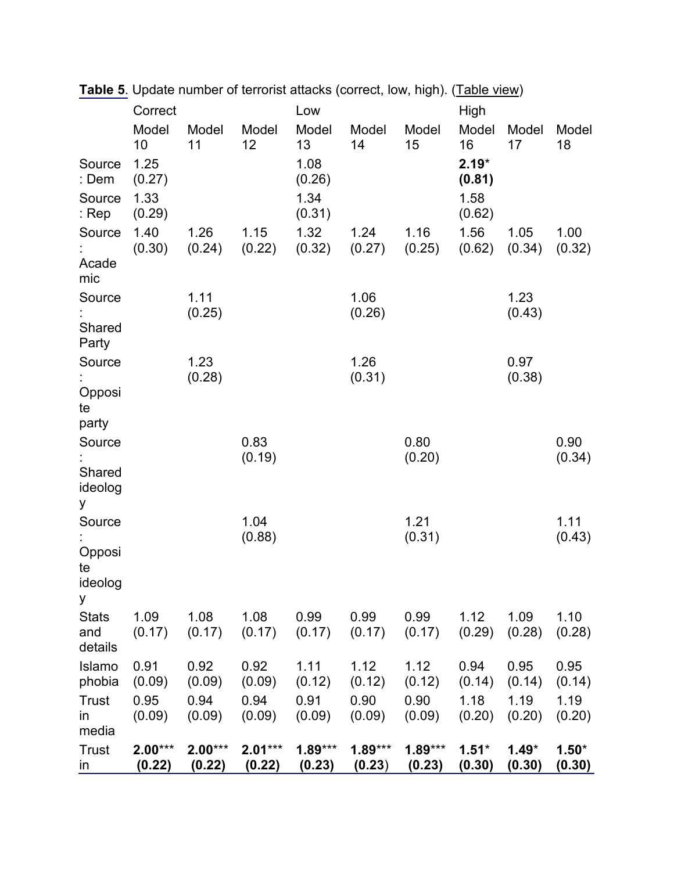|                                             | Correct                |                     |                     | Low                    |                     |                     | High                      |                   |                   |
|---------------------------------------------|------------------------|---------------------|---------------------|------------------------|---------------------|---------------------|---------------------------|-------------------|-------------------|
|                                             | Model<br>10            | Model<br>11         | Model<br>12         | Model<br>13            | Model<br>14         | Model<br>15         | Model<br>16               | Model<br>17       | Model<br>18       |
| Source<br>: Dem<br>Source                   | 1.25<br>(0.27)<br>1.33 |                     |                     | 1.08<br>(0.26)<br>1.34 |                     |                     | $2.19*$<br>(0.81)<br>1.58 |                   |                   |
| : Rep                                       | (0.29)                 |                     |                     | (0.31)                 |                     |                     | (0.62)                    |                   |                   |
| Source<br>Acade<br>mic                      | 1.40<br>(0.30)         | 1.26<br>(0.24)      | 1.15<br>(0.22)      | 1.32<br>(0.32)         | 1.24<br>(0.27)      | 1.16<br>(0.25)      | 1.56<br>(0.62)            | 1.05<br>(0.34)    | 1.00<br>(0.32)    |
| Source<br>Shared<br>Party                   |                        | 1.11<br>(0.25)      |                     |                        | 1.06<br>(0.26)      |                     |                           | 1.23<br>(0.43)    |                   |
| Source<br>Opposi<br>te                      |                        | 1.23<br>(0.28)      |                     |                        | 1.26<br>(0.31)      |                     |                           | 0.97<br>(0.38)    |                   |
| party<br>Source<br>Shared<br>ideolog        |                        |                     | 0.83<br>(0.19)      |                        |                     | 0.80<br>(0.20)      |                           |                   | 0.90<br>(0.34)    |
| У<br>Source<br>Opposi<br>te<br>ideolog<br>У |                        |                     | 1.04<br>(0.88)      |                        |                     | 1.21<br>(0.31)      |                           |                   | 1.11<br>(0.43)    |
| <b>Stats</b><br>and<br>details              | 1.09<br>(0.17)         | 1.08<br>(0.17)      | 1.08<br>(0.17)      | 0.99<br>(0.17)         | 0.99<br>(0.17)      | 0.99<br>(0.17)      | 1.12<br>(0.29)            | 1.09<br>(0.28)    | 1.10<br>(0.28)    |
| Islamo<br>phobia                            | 0.91<br>(0.09)         | 0.92<br>(0.09)      | 0.92<br>(0.09)      | 1.11<br>(0.12)         | 1.12<br>(0.12)      | 1.12<br>(0.12)      | 0.94<br>(0.14)            | 0.95<br>(0.14)    | 0.95<br>(0.14)    |
| <b>Trust</b><br><i>in</i><br>media          | 0.95<br>(0.09)         | 0.94<br>(0.09)      | 0.94<br>(0.09)      | 0.91<br>(0.09)         | 0.90<br>(0.09)      | 0.90<br>(0.09)      | 1.18<br>(0.20)            | 1.19<br>(0.20)    | 1.19<br>(0.20)    |
| <b>Trust</b><br>in                          | $2.00***$<br>(0.22)    | $2.00***$<br>(0.22) | $2.01***$<br>(0.22) | $1.89***$<br>(0.23)    | $1.89***$<br>(0.23) | $1.89***$<br>(0.23) | $1.51*$<br>(0.30)         | $1.49*$<br>(0.30) | $1.50*$<br>(0.30) |

**Table 5**. Update number of terrorist attacks (correct, low, high). [\(Table view\)](https://www.tandfonline.com/reader/content/17f2b9a20d8/10.1080/1057610X.2018.1543145/format/epub/EPUB/xhtml/t0005.xhtml)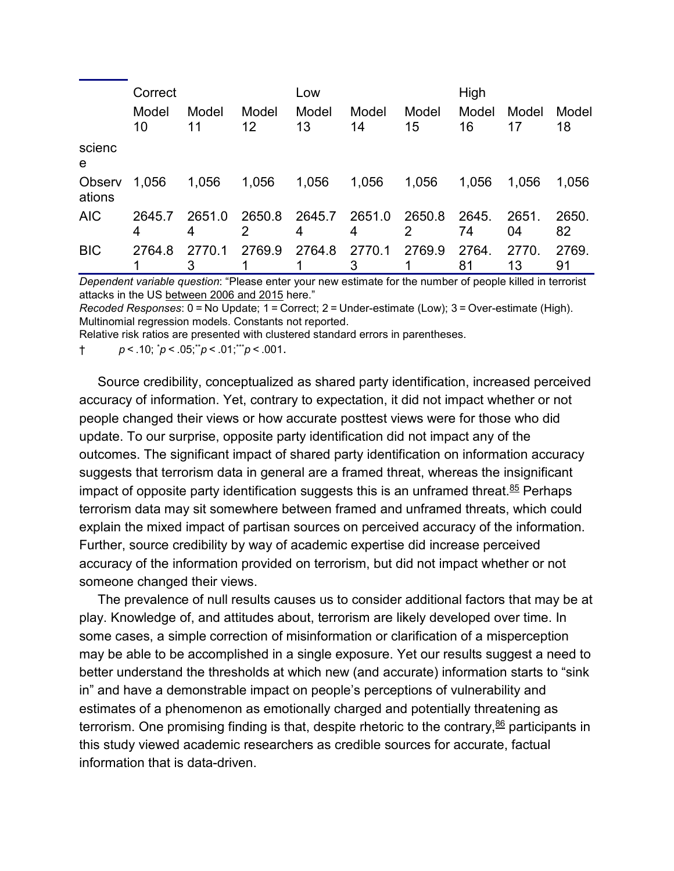|                  | Correct     |             |             | Low         |             |             | High        |             |             |
|------------------|-------------|-------------|-------------|-------------|-------------|-------------|-------------|-------------|-------------|
|                  | Model<br>10 | Model<br>11 | Model<br>12 | Model<br>13 | Model<br>14 | Model<br>15 | Model<br>16 | Model<br>17 | Model<br>18 |
| scienc<br>e      |             |             |             |             |             |             |             |             |             |
| Observ<br>ations | 1,056       | 1,056       | 1,056       | 1,056       | 1,056       | 1,056       | 1,056       | 1,056       | 1,056       |
| <b>AIC</b>       | 2645.7<br>4 | 2651.0<br>4 | 2650.8      | 2645.7<br>4 | 2651.0<br>4 | 2650.8<br>2 | 2645.<br>74 | 2651.<br>04 | 2650.<br>82 |
| <b>BIC</b>       | 2764.8      | 2770.1<br>3 | 2769.9      | 2764.8      | 2770.1      | 2769.9      | 2764.<br>81 | 2770.<br>13 | 2769.<br>91 |

*Dependent variable question*: "Please enter your new estimate for the number of people killed in terrorist attacks in the US between 2006 and 2015 here."

*Recoded Responses*: 0 = No Update; 1 = Correct; 2 = Under-estimate (Low); 3 = Over-estimate (High). Multinomial regression models. Constants not reported.

Relative risk ratios are presented with clustered standard errors in parentheses.

† *p* < .10; \* *p* < .05;\*\**p* < .01;\*\*\**p* < .001.

Source credibility, conceptualized as shared party identification, increased perceived accuracy of information. Yet, contrary to expectation, it did not impact whether or not people changed their views or how accurate posttest views were for those who did update. To our surprise, opposite party identification did not impact any of the outcomes. The significant impact of shared party identification on information accuracy suggests that terrorism data in general are a framed threat, whereas the insignificant impact of opposite party identification suggests this is an unframed threat. $85$  Perhaps terrorism data may sit somewhere between framed and unframed threats, which could explain the mixed impact of partisan sources on perceived accuracy of the information. Further, source credibility by way of academic expertise did increase perceived accuracy of the information provided on terrorism, but did not impact whether or not someone changed their views.

The prevalence of null results causes us to consider additional factors that may be at play. Knowledge of, and attitudes about, terrorism are likely developed over time. In some cases, a simple correction of misinformation or clarification of a misperception may be able to be accomplished in a single exposure. Yet our results suggest a need to better understand the thresholds at which new (and accurate) information starts to "sink in" and have a demonstrable impact on people's perceptions of vulnerability and estimates of a phenomenon as emotionally charged and potentially threatening as terrorism. One promising finding is that, despite rhetoric to the contrary,  $86$  participants in this study viewed academic researchers as credible sources for accurate, factual information that is data-driven.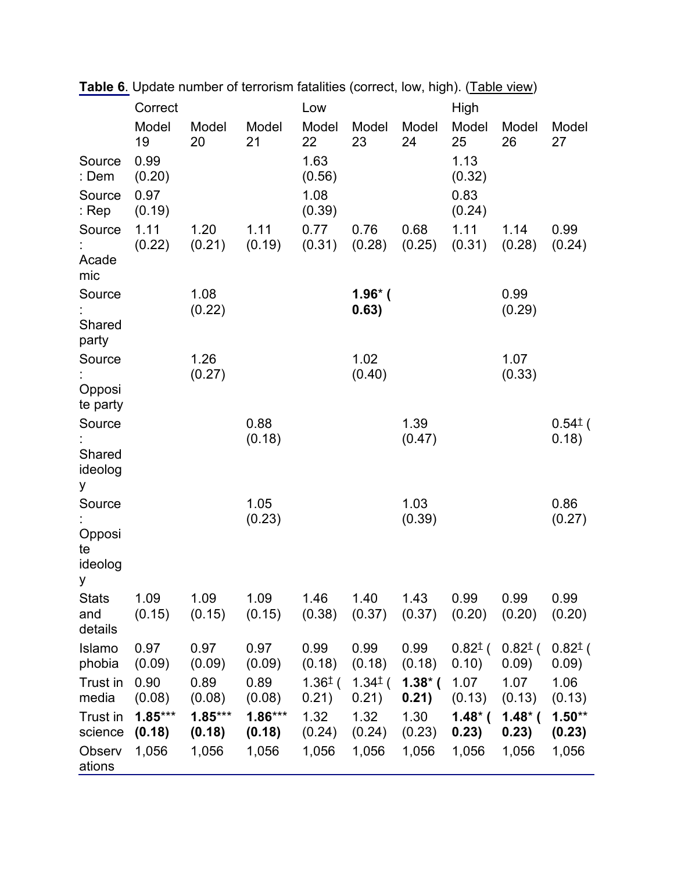|                                | Correct                |                     |                     | Low                    |                         |                       | High                   |                       |                       |
|--------------------------------|------------------------|---------------------|---------------------|------------------------|-------------------------|-----------------------|------------------------|-----------------------|-----------------------|
|                                | Model<br>19            | Model<br>20         | Model<br>21         | Model<br>22            | Model<br>23             | Model<br>24           | Model<br>25            | Model<br>26           | Model<br>27           |
| Source<br>: Dem<br>Source      | 0.99<br>(0.20)<br>0.97 |                     |                     | 1.63<br>(0.56)<br>1.08 |                         |                       | 1.13<br>(0.32)<br>0.83 |                       |                       |
| : Rep                          | (0.19)                 |                     |                     | (0.39)                 |                         |                       | (0.24)                 |                       |                       |
| Source<br>Acade<br>mic         | 1.11<br>(0.22)         | 1.20<br>(0.21)      | 1.11<br>(0.19)      | 0.77<br>(0.31)         | 0.76<br>(0.28)          | 0.68<br>(0.25)        | 1.11<br>(0.31)         | 1.14<br>(0.28)        | 0.99<br>(0.24)        |
| Source<br>Shared<br>party      |                        | 1.08<br>(0.22)      |                     |                        | $1.96*$ (<br>0.63)      |                       |                        | 0.99<br>(0.29)        |                       |
| Source<br>Opposi               |                        | 1.26<br>(0.27)      |                     |                        | 1.02<br>(0.40)          |                       |                        | 1.07<br>(0.33)        |                       |
| te party<br>Source             |                        |                     | 0.88                |                        |                         | 1.39                  |                        |                       | $0.54^{\text{t}}$ (   |
| Shared<br>ideolog<br>у         |                        |                     | (0.18)              |                        |                         | (0.47)                |                        |                       | 0.18)                 |
| Source                         |                        |                     | 1.05<br>(0.23)      |                        |                         | 1.03<br>(0.39)        |                        |                       | 0.86<br>(0.27)        |
| Opposi<br>te<br>ideolog<br>у   |                        |                     |                     |                        |                         |                       |                        |                       |                       |
| <b>Stats</b><br>and<br>details | 1.09<br>(0.15)         | 1.09<br>(0.15)      | 1.09<br>(0.15)      | 1.46<br>(0.38)         | 1.40<br>(0.37)          | 1.43<br>(0.37)        | 0.99<br>(0.20)         | 0.99<br>(0.20)        | 0.99<br>(0.20)        |
| Islamo<br>phobia               | 0.97<br>(0.09)         | 0.97<br>(0.09)      | 0.97<br>(0.09)      | 0.99<br>(0.18)         | 0.99<br>(0.18)          | 0.99<br>(0.18)        | $0.82^{t}$ (<br>0.10)  | $0.82^{t}$ (<br>0.09) | $0.82^{t}$ (<br>0.09) |
| Trust in<br>media              | 0.90<br>(0.08)         | 0.89<br>(0.08)      | 0.89<br>(0.08)      | $1.36†$ (<br>0.21)     | $1.34^{\pm}$ (<br>0.21) | $1.38^{*}$ (<br>0.21) | 1.07<br>(0.13)         | 1.07<br>(0.13)        | 1.06<br>(0.13)        |
| Trust in<br>science            | $1.85***$<br>(0.18)    | $1.85***$<br>(0.18) | $1.86***$<br>(0.18) | 1.32<br>(0.24)         | 1.32<br>(0.24)          | 1.30<br>(0.23)        | $1.48^*$ (<br>0.23)    | $1.48^{*}$ (<br>0.23) | $1.50**$<br>(0.23)    |
| Observ<br>ations               | 1,056                  | 1,056               | 1,056               | 1,056                  | 1,056                   | 1,056                 | 1,056                  | 1,056                 | 1,056                 |

**Table 6**. Update number of terrorism fatalities (correct, low, high). [\(Table view\)](https://www.tandfonline.com/reader/content/17f2b9a20d8/10.1080/1057610X.2018.1543145/format/epub/EPUB/xhtml/t0006.xhtml)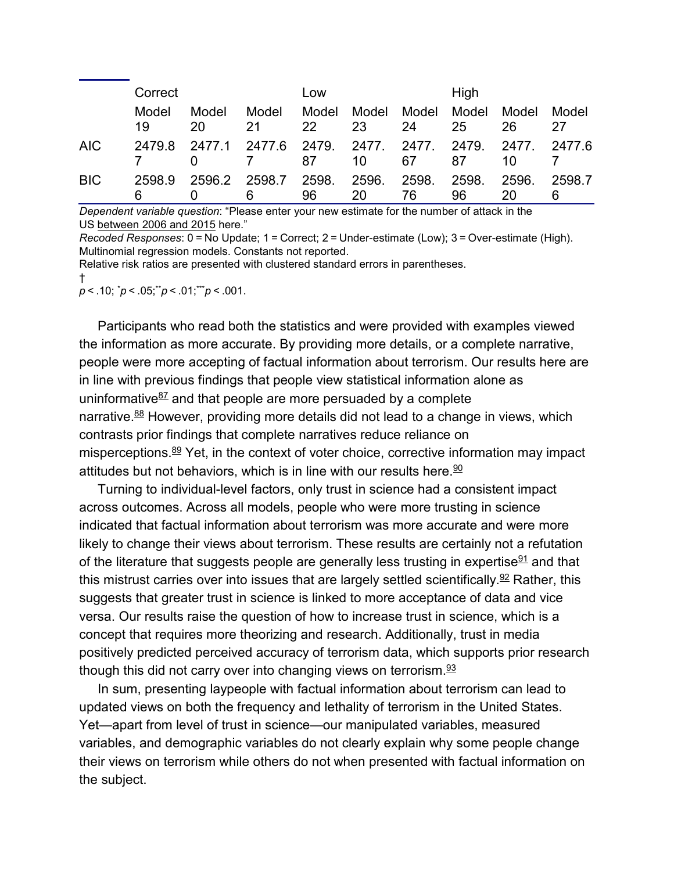|            | Correct     |             |              | Low         |             |             | High        |             |             |
|------------|-------------|-------------|--------------|-------------|-------------|-------------|-------------|-------------|-------------|
|            | Model<br>19 | Model<br>20 | Model<br>21  | Model<br>22 | Model<br>23 | Model<br>24 | Model<br>25 | Model<br>26 | Model<br>27 |
| <b>AIC</b> | 2479.8      | 2477 1      | 2477.6 2479. | 87          | 2477.<br>10 | 2477.<br>67 | 2479.<br>87 | 2477.<br>10 | 2477.6      |
| <b>BIC</b> | 2598.9<br>6 | 2596.2      | 2598.7<br>6  | 2598.<br>96 | 2596.<br>20 | 2598.<br>76 | 2598.<br>96 | 2596.<br>20 | 2598.7<br>6 |

*Dependent variable question*: "Please enter your new estimate for the number of attack in the US between 2006 and 2015 here."

*Recoded Responses*: 0 = No Update; 1 = Correct; 2 = Under-estimate (Low); 3 = Over-estimate (High). Multinomial regression models. Constants not reported.

Relative risk ratios are presented with clustered standard errors in parentheses.

†

*p* < .10; \* *p* < .05;\*\**p* < .01;\*\*\**p* < .001.

Participants who read both the statistics and were provided with examples viewed the information as more accurate. By providing more details, or a complete narrative, people were more accepting of factual information about terrorism. Our results here are in line with previous findings that people view statistical information alone as uninformative $87$  and that people are more persuaded by a complete narrative.<sup>88</sup> However, providing more details did not lead to a change in views, which contrasts prior findings that complete narratives reduce reliance on misperceptions.<sup>89</sup> Yet, in the context of voter choice, corrective information may impact attitudes but not behaviors, which is in line with our results here. $90$ 

Turning to individual-level factors, only trust in science had a consistent impact across outcomes. Across all models, people who were more trusting in science indicated that factual information about terrorism was more accurate and were more likely to change their views about terrorism. These results are certainly not a refutation of the literature that suggests people are generally less trusting in expertise $91$  and that this mistrust carries over into issues that are largely settled scientifically.<sup>[92](https://www.tandfonline.com/reader/content/17f2b9a20d8/10.1080/1057610X.2018.1543145/format/epub/EPUB/xhtml/index.xhtml#EN92)</sup> Rather, this suggests that greater trust in science is linked to more acceptance of data and vice versa. Our results raise the question of how to increase trust in science, which is a concept that requires more theorizing and research. Additionally, trust in media positively predicted perceived accuracy of terrorism data, which supports prior research though this did not carry over into changing views on terrorism.<sup>[93](https://www.tandfonline.com/reader/content/17f2b9a20d8/10.1080/1057610X.2018.1543145/format/epub/EPUB/xhtml/index.xhtml#EN93)</sup>

In sum, presenting laypeople with factual information about terrorism can lead to updated views on both the frequency and lethality of terrorism in the United States. Yet—apart from level of trust in science—our manipulated variables, measured variables, and demographic variables do not clearly explain why some people change their views on terrorism while others do not when presented with factual information on the subject.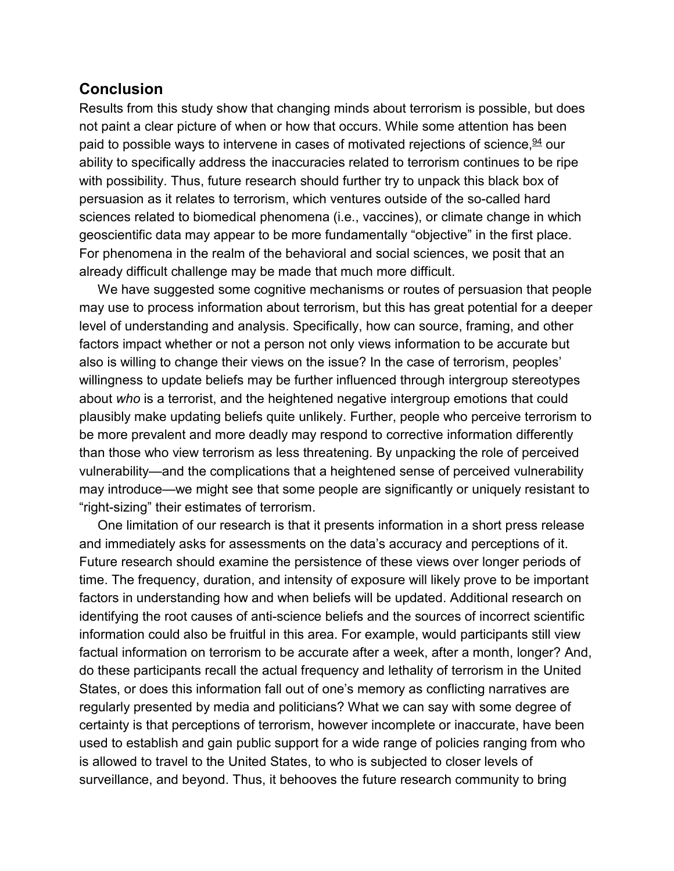## **Conclusion**

Results from this study show that changing minds about terrorism is possible, but does not paint a clear picture of when or how that occurs. While some attention has been paid to possible ways to intervene in cases of motivated rejections of science, <sup>94</sup> our ability to specifically address the inaccuracies related to terrorism continues to be ripe with possibility. Thus, future research should further try to unpack this black box of persuasion as it relates to terrorism, which ventures outside of the so-called hard sciences related to biomedical phenomena (i.e., vaccines), or climate change in which geoscientific data may appear to be more fundamentally "objective" in the first place. For phenomena in the realm of the behavioral and social sciences, we posit that an already difficult challenge may be made that much more difficult.

We have suggested some cognitive mechanisms or routes of persuasion that people may use to process information about terrorism, but this has great potential for a deeper level of understanding and analysis. Specifically, how can source, framing, and other factors impact whether or not a person not only views information to be accurate but also is willing to change their views on the issue? In the case of terrorism, peoples' willingness to update beliefs may be further influenced through intergroup stereotypes about *who* is a terrorist, and the heightened negative intergroup emotions that could plausibly make updating beliefs quite unlikely. Further, people who perceive terrorism to be more prevalent and more deadly may respond to corrective information differently than those who view terrorism as less threatening. By unpacking the role of perceived vulnerability—and the complications that a heightened sense of perceived vulnerability may introduce—we might see that some people are significantly or uniquely resistant to "right-sizing" their estimates of terrorism.

One limitation of our research is that it presents information in a short press release and immediately asks for assessments on the data's accuracy and perceptions of it. Future research should examine the persistence of these views over longer periods of time. The frequency, duration, and intensity of exposure will likely prove to be important factors in understanding how and when beliefs will be updated. Additional research on identifying the root causes of anti-science beliefs and the sources of incorrect scientific information could also be fruitful in this area. For example, would participants still view factual information on terrorism to be accurate after a week, after a month, longer? And, do these participants recall the actual frequency and lethality of terrorism in the United States, or does this information fall out of one's memory as conflicting narratives are regularly presented by media and politicians? What we can say with some degree of certainty is that perceptions of terrorism, however incomplete or inaccurate, have been used to establish and gain public support for a wide range of policies ranging from who is allowed to travel to the United States, to who is subjected to closer levels of surveillance, and beyond. Thus, it behooves the future research community to bring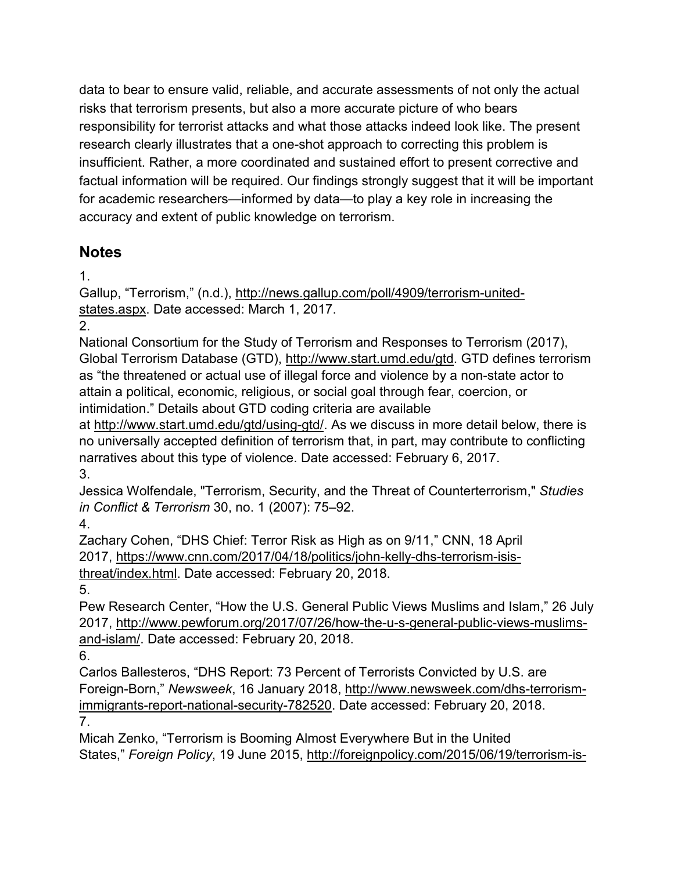data to bear to ensure valid, reliable, and accurate assessments of not only the actual risks that terrorism presents, but also a more accurate picture of who bears responsibility for terrorist attacks and what those attacks indeed look like. The present research clearly illustrates that a one-shot approach to correcting this problem is insufficient. Rather, a more coordinated and sustained effort to present corrective and factual information will be required. Our findings strongly suggest that it will be important for academic researchers—informed by data—to play a key role in increasing the accuracy and extent of public knowledge on terrorism.

# **Notes**

1.

Gallup, "Terrorism," (n.d.), [http://news.gallup.com/poll/4909/terrorism](http://news.gallup.com/poll/4909/terrorism-united-states.aspx)-united[states.aspx](http://news.gallup.com/poll/4909/terrorism-united-states.aspx). Date accessed: March 1, 2017.

2.

National Consortium for the Study of Terrorism and Responses to Terrorism (2017), Global Terrorism Database (GTD), [http://www.start.umd.edu/gtd.](http://www.start.umd.edu/gtd) GTD defines terrorism as "the threatened or actual use of illegal force and violence by a non-state actor to attain a political, economic, religious, or social goal through fear, coercion, or intimidation." Details about GTD coding criteria are available

at [http://www.start.umd.edu/gtd/using-gtd/.](http://www.start.umd.edu/gtd/using-gtd/) As we discuss in more detail below, there is no universally accepted definition of terrorism that, in part, may contribute to conflicting narratives about this type of violence. Date accessed: February 6, 2017. 3.

Jessica Wolfendale, "Terrorism, Security, and the Threat of Counterterrorism," *Studies in Conflict & Terrorism* 30, no. 1 (2007): 75–92.

4.

Zachary Cohen, "DHS Chief: Terror Risk as High as on 9/11," CNN, 18 April 2017, [https://www.cnn.com/2017/04/18/politics/john](https://www.cnn.com/2017/04/18/politics/john-kelly-dhs-terrorism-isis-threat/index.html)-kelly-dhs-terrorism-isis[threat/index.html](https://www.cnn.com/2017/04/18/politics/john-kelly-dhs-terrorism-isis-threat/index.html). Date accessed: February 20, 2018.

5.

Pew Research Center, "How the U.S. General Public Views Muslims and Islam," 26 July 2017, [http://www.pewforum.org/2017/07/26/how](http://www.pewforum.org/2017/07/26/how-the-u-s-general-public-views-muslims-and-islam/)-the-u-s-general-public-views-muslims[and-islam/](http://www.pewforum.org/2017/07/26/how-the-u-s-general-public-views-muslims-and-islam/). Date accessed: February 20, 2018.

6.

Carlos Ballesteros, "DHS Report: 73 Percent of Terrorists Convicted by U.S. are Foreign-Born," *Newsweek*, 16 January 2018, [http://www.newsweek.com/dhs-terrorism](http://www.newsweek.com/dhs-terrorism-immigrants-report-national-security-782520)[immigrants-report-national-security-](http://www.newsweek.com/dhs-terrorism-immigrants-report-national-security-782520)782520. Date accessed: February 20, 2018. 7.

Micah Zenko, "Terrorism is Booming Almost Everywhere But in the United States," *Foreign Policy*, 19 June 2015, [http://foreignpolicy.com/2015/06/19/terrorism](http://foreignpolicy.com/2015/06/19/terrorism-is-booming-almost-everywhere-but-in-the-united-states-state-department-report/)-is-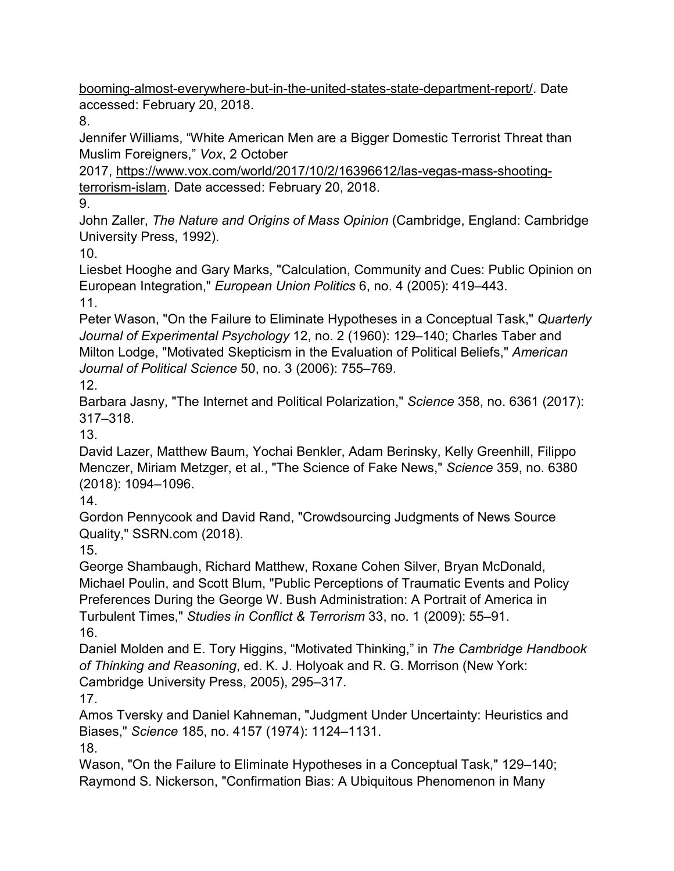[booming-almost-everywhere-but-in-the-united-states-state-department-report/.](http://foreignpolicy.com/2015/06/19/terrorism-is-booming-almost-everywhere-but-in-the-united-states-state-department-report/) Date accessed: February 20, 2018.

8.

Jennifer Williams, "White American Men are a Bigger Domestic Terrorist Threat than Muslim Foreigners," *Vox*, 2 October

2017, [https://www.vox.com/world/2017/10/2/16396612/las](https://www.vox.com/world/2017/10/2/16396612/las-vegas-mass-shooting-terrorism-islam)-vegas-mass-shooting[terrorism-islam.](https://www.vox.com/world/2017/10/2/16396612/las-vegas-mass-shooting-terrorism-islam) Date accessed: February 20, 2018.

9.

John Zaller, *The Nature and Origins of Mass Opinion* (Cambridge, England: Cambridge University Press, 1992).

10.

Liesbet Hooghe and Gary Marks, "Calculation, Community and Cues: Public Opinion on European Integration," *European Union Politics* 6, no. 4 (2005): 419–443. 11.

Peter Wason, "On the Failure to Eliminate Hypotheses in a Conceptual Task," *Quarterly Journal of Experimental Psychology* 12, no. 2 (1960): 129–140; Charles Taber and Milton Lodge, "Motivated Skepticism in the Evaluation of Political Beliefs," *American Journal of Political Science* 50, no. 3 (2006): 755–769. 12.

Barbara Jasny, "The Internet and Political Polarization," *Science* 358, no. 6361 (2017): 317–318.

13.

David Lazer, Matthew Baum, Yochai Benkler, Adam Berinsky, Kelly Greenhill, Filippo Menczer, Miriam Metzger, et al., "The Science of Fake News," *Science* 359, no. 6380 (2018): 1094–1096.

14.

Gordon Pennycook and David Rand, "Crowdsourcing Judgments of News Source Quality," SSRN.com (2018).

15.

George Shambaugh, Richard Matthew, Roxane Cohen Silver, Bryan McDonald, Michael Poulin, and Scott Blum, "Public Perceptions of Traumatic Events and Policy Preferences During the George W. Bush Administration: A Portrait of America in Turbulent Times," *Studies in Conflict & Terrorism* 33, no. 1 (2009): 55–91. 16.

Daniel Molden and E. Tory Higgins, "Motivated Thinking," in *The Cambridge Handbook of Thinking and Reasoning*, ed. K. J. Holyoak and R. G. Morrison (New York: Cambridge University Press, 2005), 295–317.

17.

Amos Tversky and Daniel Kahneman, "Judgment Under Uncertainty: Heuristics and Biases," *Science* 185, no. 4157 (1974): 1124–1131. 18.

Wason, "On the Failure to Eliminate Hypotheses in a Conceptual Task," 129–140; Raymond S. Nickerson, "Confirmation Bias: A Ubiquitous Phenomenon in Many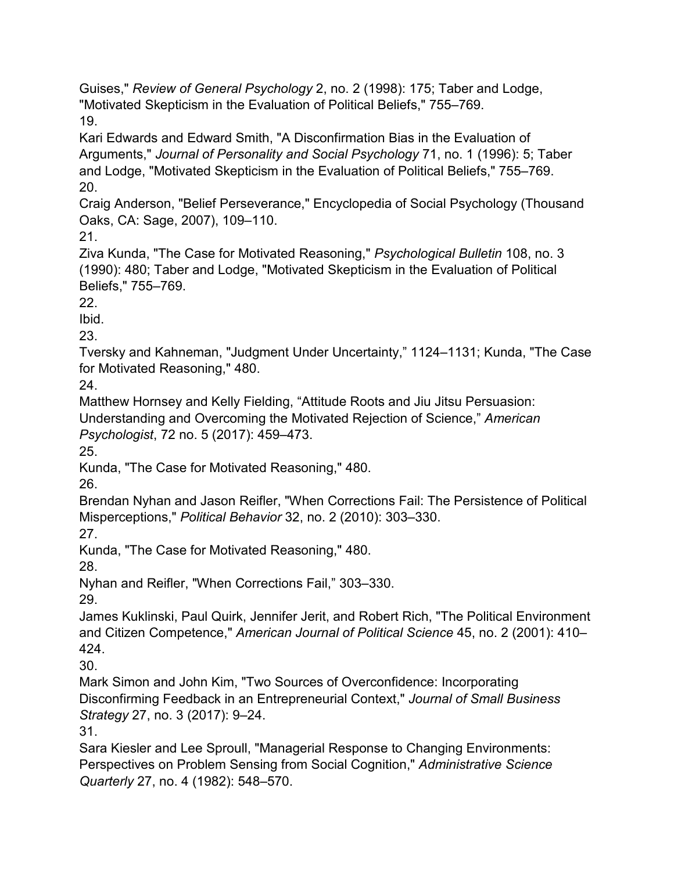Guises," *Review of General Psychology* 2, no. 2 (1998): 175; Taber and Lodge, "Motivated Skepticism in the Evaluation of Political Beliefs," 755–769. 19.

Kari Edwards and Edward Smith, "A Disconfirmation Bias in the Evaluation of Arguments," *Journal of Personality and Social Psychology* 71, no. 1 (1996): 5; Taber and Lodge, "Motivated Skepticism in the Evaluation of Political Beliefs," 755–769. 20.

Craig Anderson, "Belief Perseverance," Encyclopedia of Social Psychology (Thousand Oaks, CA: Sage, 2007), 109–110.

21.

Ziva Kunda, "The Case for Motivated Reasoning," *Psychological Bulletin* 108, no. 3 (1990): 480; Taber and Lodge, "Motivated Skepticism in the Evaluation of Political Beliefs," 755–769.

22.

Ibid.

23.

Tversky and Kahneman, "Judgment Under Uncertainty," 1124–1131; Kunda, "The Case for Motivated Reasoning," 480.

24.

Matthew Hornsey and Kelly Fielding, "Attitude Roots and Jiu Jitsu Persuasion: Understanding and Overcoming the Motivated Rejection of Science," *American Psychologist*, 72 no. 5 (2017): 459–473.

25.

Kunda, "The Case for Motivated Reasoning," 480.

26.

Brendan Nyhan and Jason Reifler, "When Corrections Fail: The Persistence of Political Misperceptions," *Political Behavior* 32, no. 2 (2010): 303–330.

27.

Kunda, "The Case for Motivated Reasoning," 480.

28.

Nyhan and Reifler, "When Corrections Fail," 303–330. 29.

James Kuklinski, Paul Quirk, Jennifer Jerit, and Robert Rich, "The Political Environment and Citizen Competence," *American Journal of Political Science* 45, no. 2 (2001): 410– 424.

30.

Mark Simon and John Kim, "Two Sources of Overconfidence: Incorporating Disconfirming Feedback in an Entrepreneurial Context," *Journal of Small Business Strategy* 27, no. 3 (2017): 9–24.

31.

Sara Kiesler and Lee Sproull, "Managerial Response to Changing Environments: Perspectives on Problem Sensing from Social Cognition," *Administrative Science Quarterly* 27, no. 4 (1982): 548–570.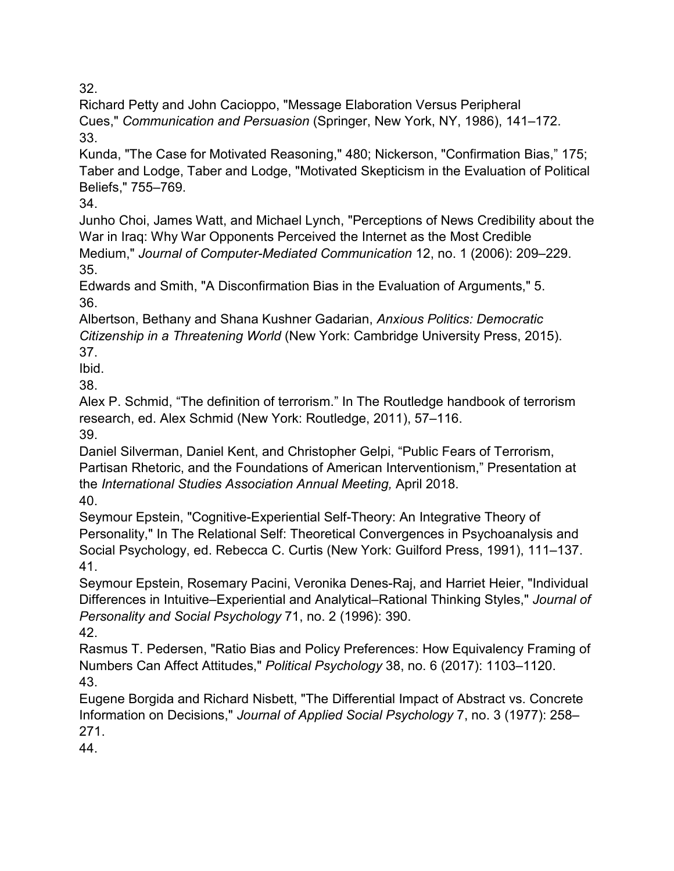32.

Richard Petty and John Cacioppo, "Message Elaboration Versus Peripheral Cues," *Communication and Persuasion* (Springer, New York, NY, 1986), 141–172. 33.

Kunda, "The Case for Motivated Reasoning," 480; Nickerson, "Confirmation Bias," 175; Taber and Lodge, Taber and Lodge, "Motivated Skepticism in the Evaluation of Political Beliefs," 755–769.

34.

Junho Choi, James Watt, and Michael Lynch, "Perceptions of News Credibility about the War in Iraq: Why War Opponents Perceived the Internet as the Most Credible Medium," *Journal of Computer-Mediated Communication* 12, no. 1 (2006): 209–229. 35.

Edwards and Smith, "A Disconfirmation Bias in the Evaluation of Arguments," 5. 36.

Albertson, Bethany and Shana Kushner Gadarian, *Anxious Politics: Democratic Citizenship in a Threatening World* (New York: Cambridge University Press, 2015). 37.

Ibid.

38.

Alex P. Schmid, "The definition of terrorism." In The Routledge handbook of terrorism research, ed. Alex Schmid (New York: Routledge, 2011), 57–116.

39.

Daniel Silverman, Daniel Kent, and Christopher Gelpi, "Public Fears of Terrorism, Partisan Rhetoric, and the Foundations of American Interventionism," Presentation at the *International Studies Association Annual Meeting,* April 2018. 40.

Seymour Epstein, "Cognitive-Experiential Self-Theory: An Integrative Theory of Personality," In The Relational Self: Theoretical Convergences in Psychoanalysis and Social Psychology, ed. Rebecca C. Curtis (New York: Guilford Press, 1991), 111–137. 41.

Seymour Epstein, Rosemary Pacini, Veronika Denes-Raj, and Harriet Heier, "Individual Differences in Intuitive–Experiential and Analytical–Rational Thinking Styles," *Journal of Personality and Social Psychology* 71, no. 2 (1996): 390.

42.

Rasmus T. Pedersen, "Ratio Bias and Policy Preferences: How Equivalency Framing of Numbers Can Affect Attitudes," *Political Psychology* 38, no. 6 (2017): 1103–1120. 43.

Eugene Borgida and Richard Nisbett, "The Differential Impact of Abstract vs. Concrete Information on Decisions," *Journal of Applied Social Psychology* 7, no. 3 (1977): 258– 271.

44.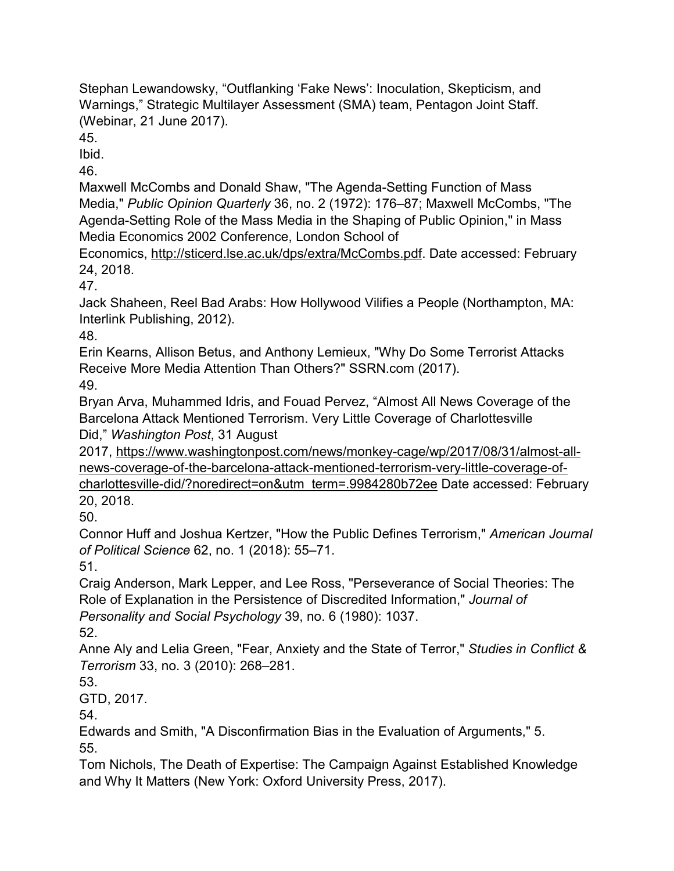Stephan Lewandowsky, "Outflanking 'Fake News': Inoculation, Skepticism, and Warnings," Strategic Multilayer Assessment (SMA) team, Pentagon Joint Staff. (Webinar, 21 June 2017).

45.

Ibid.

46.

Maxwell McCombs and Donald Shaw, "The Agenda-Setting Function of Mass Media," *Public Opinion Quarterly* 36, no. 2 (1972): 176–87; Maxwell McCombs, "The Agenda-Setting Role of the Mass Media in the Shaping of Public Opinion," in Mass Media Economics 2002 Conference, London School of

Economics, [http://sticerd.lse.ac.uk/dps/extra/McCombs.pdf.](http://sticerd.lse.ac.uk/dps/extra/McCombs.pdf) Date accessed: February 24, 2018.

47.

Jack Shaheen, Reel Bad Arabs: How Hollywood Vilifies a People (Northampton, MA: Interlink Publishing, 2012).

48.

Erin Kearns, Allison Betus, and Anthony Lemieux, "Why Do Some Terrorist Attacks Receive More Media Attention Than Others?" SSRN.com (2017). 49.

Bryan Arva, Muhammed Idris, and Fouad Pervez, "Almost All News Coverage of the Barcelona Attack Mentioned Terrorism. Very Little Coverage of Charlottesville Did," *Washington Post*, 31 August

2017, [https://www.washingtonpost.com/news/monkey-](https://www.washingtonpost.com/news/monkey-cage/wp/2017/08/31/almost-all-news-coverage-of-the-barcelona-attack-mentioned-terrorism-very-little-coverage-of-charlottesville-did/?noredirect=on&utm_term=.9984280b72ee)cage/wp/2017/08/31/almost-all[news-coverage-of-the-barcelona-attack-mentioned-terrorism-very-little-coverage-of](https://www.washingtonpost.com/news/monkey-cage/wp/2017/08/31/almost-all-news-coverage-of-the-barcelona-attack-mentioned-terrorism-very-little-coverage-of-charlottesville-did/?noredirect=on&utm_term=.9984280b72ee)charlottesville-[did/?noredirect=on&utm\\_term=.9984280b72ee](https://www.washingtonpost.com/news/monkey-cage/wp/2017/08/31/almost-all-news-coverage-of-the-barcelona-attack-mentioned-terrorism-very-little-coverage-of-charlottesville-did/?noredirect=on&utm_term=.9984280b72ee) Date accessed: February 20, 2018.

50.

Connor Huff and Joshua Kertzer, "How the Public Defines Terrorism," *American Journal of Political Science* 62, no. 1 (2018): 55–71.

51.

Craig Anderson, Mark Lepper, and Lee Ross, "Perseverance of Social Theories: The Role of Explanation in the Persistence of Discredited Information," *Journal of Personality and Social Psychology* 39, no. 6 (1980): 1037.

52.

Anne Aly and Lelia Green, "Fear, Anxiety and the State of Terror," *Studies in Conflict & Terrorism* 33, no. 3 (2010): 268–281.

53.

GTD, 2017.

54.

Edwards and Smith, "A Disconfirmation Bias in the Evaluation of Arguments," 5. 55.

Tom Nichols, The Death of Expertise: The Campaign Against Established Knowledge and Why It Matters (New York: Oxford University Press, 2017).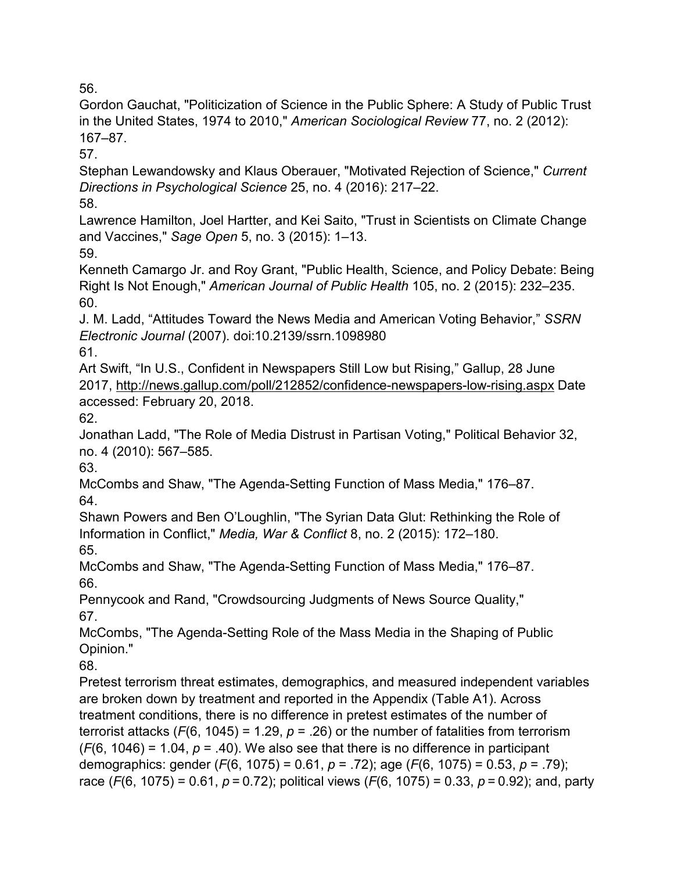56.

Gordon Gauchat, "Politicization of Science in the Public Sphere: A Study of Public Trust in the United States, 1974 to 2010," *American Sociological Review* 77, no. 2 (2012): 167–87.

57.

Stephan Lewandowsky and Klaus Oberauer, "Motivated Rejection of Science," *Current Directions in Psychological Science* 25, no. 4 (2016): 217–22. 58.

Lawrence Hamilton, Joel Hartter, and Kei Saito, "Trust in Scientists on Climate Change and Vaccines," *Sage Open* 5, no. 3 (2015): 1–13. 59.

Kenneth Camargo Jr. and Roy Grant, "Public Health, Science, and Policy Debate: Being Right Is Not Enough," *American Journal of Public Health* 105, no. 2 (2015): 232–235. 60.

J. M. Ladd, "Attitudes Toward the News Media and American Voting Behavior," *SSRN Electronic Journal* (2007). doi:10.2139/ssrn.1098980

61.

Art Swift, "In U.S., Confident in Newspapers Still Low but Rising," Gallup, 28 June 2017, [http://news.gallup.com/poll/212852/confidence](http://news.gallup.com/poll/212852/confidence-newspapers-low-rising.aspx)-newspapers-low-rising.aspx Date accessed: February 20, 2018.

62.

Jonathan Ladd, "The Role of Media Distrust in Partisan Voting," Political Behavior 32, no. 4 (2010): 567–585.

63.

McCombs and Shaw, "The Agenda-Setting Function of Mass Media," 176–87. 64.

Shawn Powers and Ben O'Loughlin, "The Syrian Data Glut: Rethinking the Role of Information in Conflict," *Media, War & Conflict* 8, no. 2 (2015): 172–180. 65.

McCombs and Shaw, "The Agenda-Setting Function of Mass Media," 176–87. 66.

Pennycook and Rand, "Crowdsourcing Judgments of News Source Quality," 67.

McCombs, "The Agenda-Setting Role of the Mass Media in the Shaping of Public Opinion."

68.

Pretest terrorism threat estimates, demographics, and measured independent variables are broken down by treatment and reported in the Appendix (Table A1). Across treatment conditions, there is no difference in pretest estimates of the number of terrorist attacks (*F*(6, 1045) = 1.29, *p* = .26) or the number of fatalities from terrorism  $(F(6, 1046) = 1.04$ ,  $p = .40$ ). We also see that there is no difference in participant demographics: gender (*F*(6, 1075) = 0.61, *p* = .72); age (*F*(6, 1075) = 0.53, *p* = .79); race (*F*(6, 1075) = 0.61, *p* = 0.72); political views (*F*(6, 1075) = 0.33, *p* = 0.92); and, party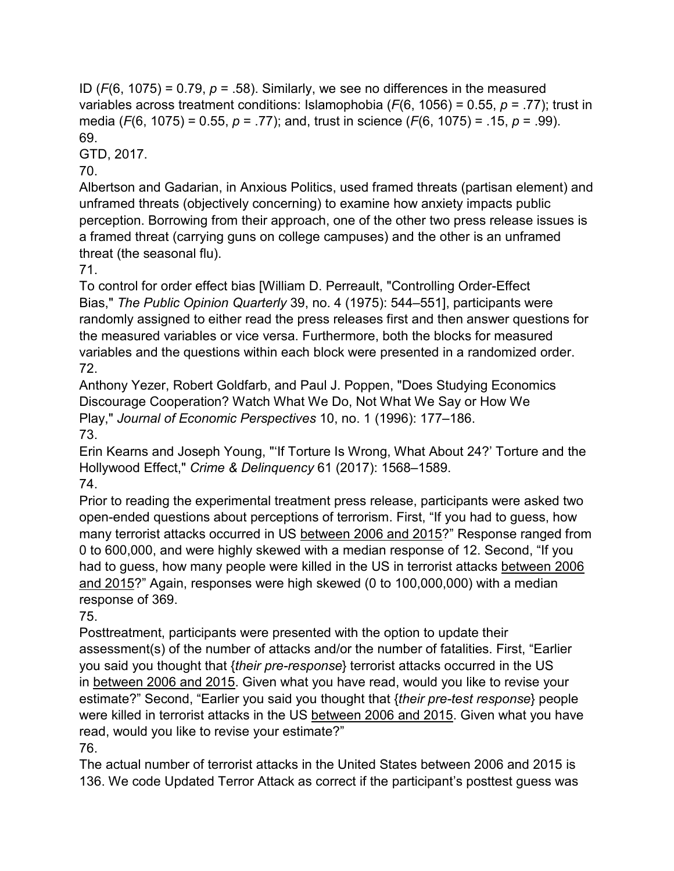ID  $(F(6, 1075) = 0.79, p = .58)$ . Similarly, we see no differences in the measured variables across treatment conditions: Islamophobia (*F*(6, 1056) = 0.55, *p* = .77); trust in media (*F*(6, 1075) = 0.55, *p* = .77); and, trust in science (*F*(6, 1075) = .15, *p* = .99). 69.

GTD, 2017.

70.

Albertson and Gadarian, in Anxious Politics, used framed threats (partisan element) and unframed threats (objectively concerning) to examine how anxiety impacts public perception. Borrowing from their approach, one of the other two press release issues is a framed threat (carrying guns on college campuses) and the other is an unframed threat (the seasonal flu).

71.

To control for order effect bias [William D. Perreault, "Controlling Order-Effect Bias," *The Public Opinion Quarterly* 39, no. 4 (1975): 544–551], participants were randomly assigned to either read the press releases first and then answer questions for the measured variables or vice versa. Furthermore, both the blocks for measured variables and the questions within each block were presented in a randomized order. 72.

Anthony Yezer, Robert Goldfarb, and Paul J. Poppen, "Does Studying Economics Discourage Cooperation? Watch What We Do, Not What We Say or How We Play," *Journal of Economic Perspectives* 10, no. 1 (1996): 177–186. 73.

Erin Kearns and Joseph Young, "'If Torture Is Wrong, What About 24?' Torture and the Hollywood Effect," *Crime & Delinquency* 61 (2017): 1568–1589. 74.

Prior to reading the experimental treatment press release, participants were asked two open-ended questions about perceptions of terrorism. First, "If you had to guess, how many terrorist attacks occurred in US between 2006 and 2015?" Response ranged from 0 to 600,000, and were highly skewed with a median response of 12. Second, "If you had to guess, how many people were killed in the US in terrorist attacks between 2006 and 2015?" Again, responses were high skewed (0 to 100,000,000) with a median response of 369.

75.

Posttreatment, participants were presented with the option to update their assessment(s) of the number of attacks and/or the number of fatalities. First, "Earlier you said you thought that {*their pre-response*} terrorist attacks occurred in the US in between 2006 and 2015. Given what you have read, would you like to revise your estimate?" Second, "Earlier you said you thought that {*their pre-test response*} people were killed in terrorist attacks in the US between 2006 and 2015. Given what you have read, would you like to revise your estimate?" 76.

The actual number of terrorist attacks in the United States between 2006 and 2015 is 136. We code Updated Terror Attack as correct if the participant's posttest guess was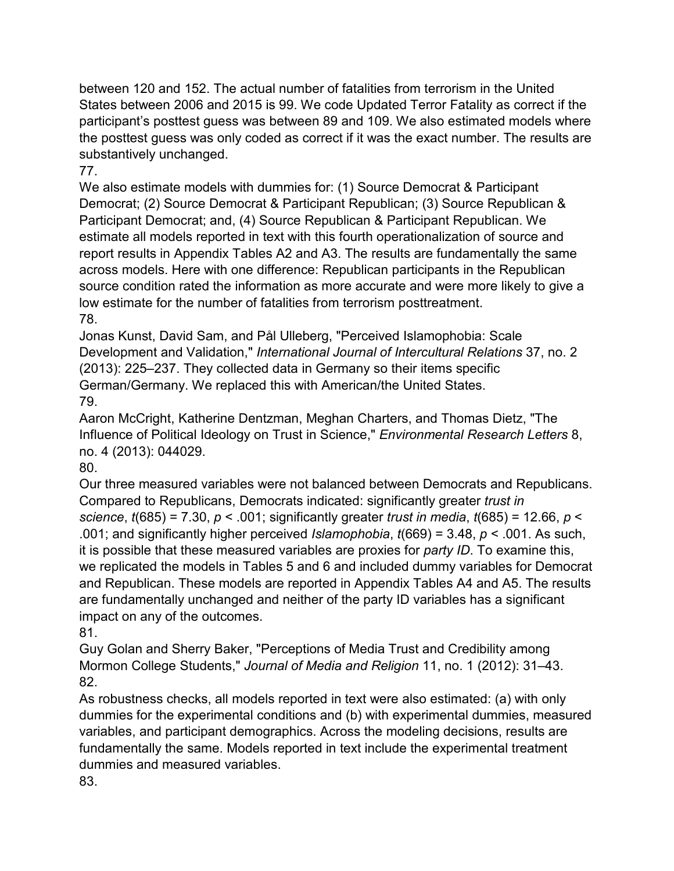between 120 and 152. The actual number of fatalities from terrorism in the United States between 2006 and 2015 is 99. We code Updated Terror Fatality as correct if the participant's posttest guess was between 89 and 109. We also estimated models where the posttest guess was only coded as correct if it was the exact number. The results are substantively unchanged.

77.

We also estimate models with dummies for: (1) Source Democrat & Participant Democrat; (2) Source Democrat & Participant Republican; (3) Source Republican & Participant Democrat; and, (4) Source Republican & Participant Republican. We estimate all models reported in text with this fourth operationalization of source and report results in Appendix Tables A2 and A3. The results are fundamentally the same across models. Here with one difference: Republican participants in the Republican source condition rated the information as more accurate and were more likely to give a low estimate for the number of fatalities from terrorism posttreatment. 78.

Jonas Kunst, David Sam, and Pål Ulleberg, "Perceived Islamophobia: Scale Development and Validation," *International Journal of Intercultural Relations* 37, no. 2 (2013): 225–237. They collected data in Germany so their items specific German/Germany. We replaced this with American/the United States. 79.

Aaron McCright, Katherine Dentzman, Meghan Charters, and Thomas Dietz, "The Influence of Political Ideology on Trust in Science," *Environmental Research Letters* 8, no. 4 (2013): 044029.

80.

Our three measured variables were not balanced between Democrats and Republicans. Compared to Republicans, Democrats indicated: significantly greater *trust in science*, *t*(685) = 7.30, *p* < .001; significantly greater *trust in media*, *t*(685) = 12.66, *p* < .001; and significantly higher perceived *Islamophobia*, *t*(669) = 3.48, *p* < .001. As such, it is possible that these measured variables are proxies for *party ID*. To examine this, we replicated the models in Tables 5 and 6 and included dummy variables for Democrat and Republican. These models are reported in Appendix Tables A4 and A5. The results are fundamentally unchanged and neither of the party ID variables has a significant impact on any of the outcomes.

81.

Guy Golan and Sherry Baker, "Perceptions of Media Trust and Credibility among Mormon College Students," *Journal of Media and Religion* 11, no. 1 (2012): 31–43. 82.

As robustness checks, all models reported in text were also estimated: (a) with only dummies for the experimental conditions and (b) with experimental dummies, measured variables, and participant demographics. Across the modeling decisions, results are fundamentally the same. Models reported in text include the experimental treatment dummies and measured variables. 83.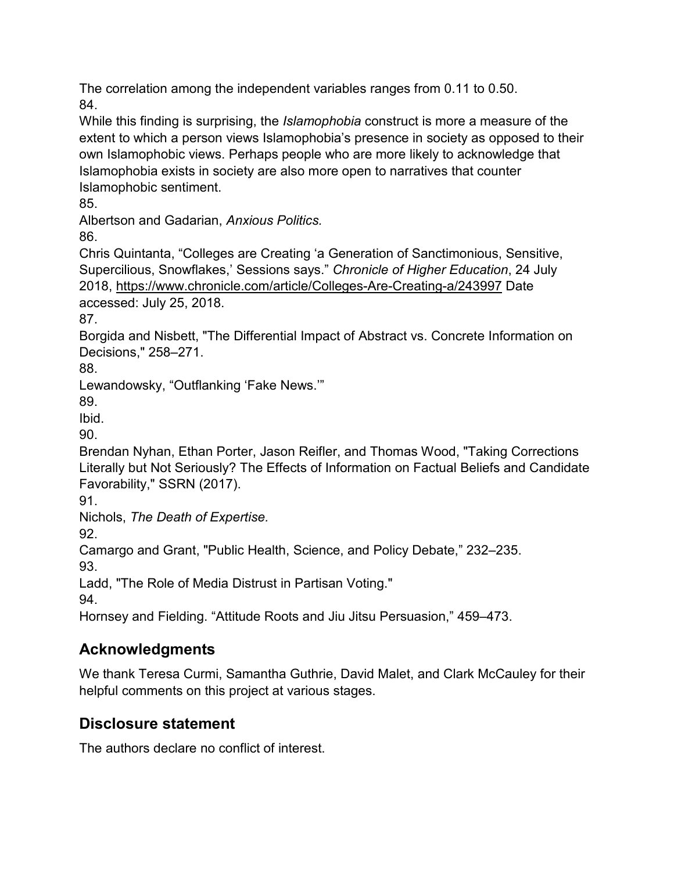The correlation among the independent variables ranges from 0.11 to 0.50. 84.

While this finding is surprising, the *Islamophobia* construct is more a measure of the extent to which a person views Islamophobia's presence in society as opposed to their own Islamophobic views. Perhaps people who are more likely to acknowledge that Islamophobia exists in society are also more open to narratives that counter Islamophobic sentiment.

85.

Albertson and Gadarian, *Anxious Politics.* 86.

Chris Quintanta, "Colleges are Creating 'a Generation of Sanctimonious, Sensitive, Supercilious, Snowflakes,' Sessions says." *Chronicle of Higher Education*, 24 July 2018, [https://www.chronicle.com/article/Colleges-Are-Creating-](https://www.chronicle.com/article/Colleges-Are-Creating-a/243997)a/243997 Date accessed: July 25, 2018.

87.

Borgida and Nisbett, "The Differential Impact of Abstract vs. Concrete Information on Decisions," 258–271.

88.

Lewandowsky, "Outflanking 'Fake News.'"

89.

Ibid.

90.

Brendan Nyhan, Ethan Porter, Jason Reifler, and Thomas Wood, "Taking Corrections Literally but Not Seriously? The Effects of Information on Factual Beliefs and Candidate Favorability," SSRN (2017).

91.

Nichols, *The Death of Expertise.*

92.

Camargo and Grant, "Public Health, Science, and Policy Debate," 232–235. 93.

Ladd, "The Role of Media Distrust in Partisan Voting."

94.

Hornsey and Fielding. "Attitude Roots and Jiu Jitsu Persuasion," 459–473.

# **Acknowledgments**

We thank Teresa Curmi, Samantha Guthrie, David Malet, and Clark McCauley for their helpful comments on this project at various stages.

# **Disclosure statement**

The authors declare no conflict of interest.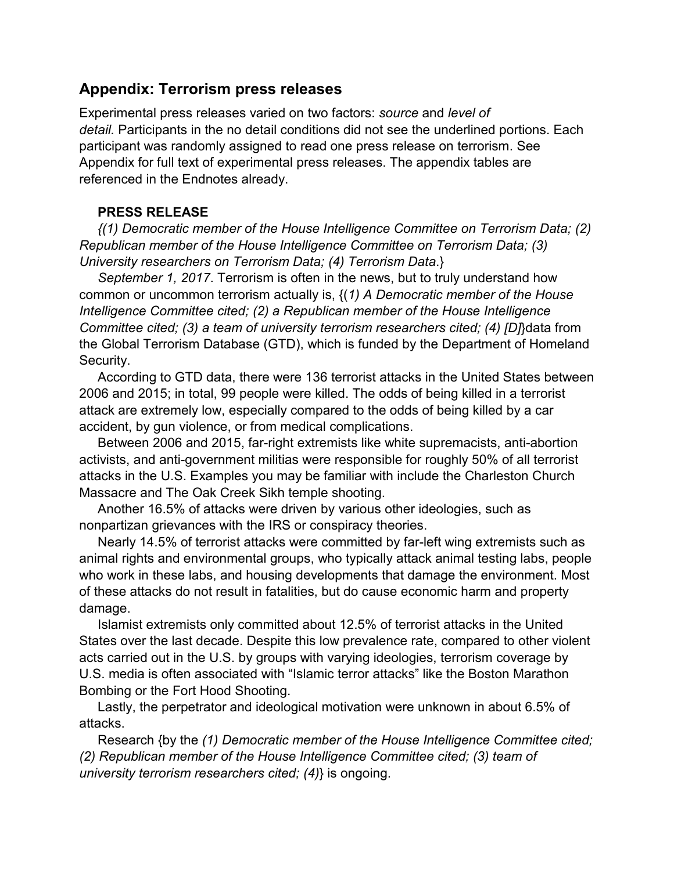# **Appendix: Terrorism press releases**

Experimental press releases varied on two factors: *source* and *level of detail.* Participants in the no detail conditions did not see the underlined portions. Each participant was randomly assigned to read one press release on terrorism. See Appendix for full text of experimental press releases. The appendix tables are referenced in the Endnotes already.

## **PRESS RELEASE**

*{(1) Democratic member of the House Intelligence Committee on Terrorism Data; (2) Republican member of the House Intelligence Committee on Terrorism Data; (3) University researchers on Terrorism Data; (4) Terrorism Data*.}

*September 1, 2017*. Terrorism is often in the news, but to truly understand how common or uncommon terrorism actually is, {(*1) A Democratic member of the House Intelligence Committee cited; (2) a Republican member of the House Intelligence Committee cited; (3) a team of university terrorism researchers cited; (4) [D]*}data from the Global Terrorism Database (GTD), which is funded by the Department of Homeland Security.

According to GTD data, there were 136 terrorist attacks in the United States between 2006 and 2015; in total, 99 people were killed. The odds of being killed in a terrorist attack are extremely low, especially compared to the odds of being killed by a car accident, by gun violence, or from medical complications.

Between 2006 and 2015, far-right extremists like white supremacists, anti-abortion activists, and anti-government militias were responsible for roughly 50% of all terrorist attacks in the U.S. Examples you may be familiar with include the Charleston Church Massacre and The Oak Creek Sikh temple shooting.

Another 16.5% of attacks were driven by various other ideologies, such as nonpartizan grievances with the IRS or conspiracy theories.

Nearly 14.5% of terrorist attacks were committed by far-left wing extremists such as animal rights and environmental groups, who typically attack animal testing labs, people who work in these labs, and housing developments that damage the environment. Most of these attacks do not result in fatalities, but do cause economic harm and property damage.

Islamist extremists only committed about 12.5% of terrorist attacks in the United States over the last decade. Despite this low prevalence rate, compared to other violent acts carried out in the U.S. by groups with varying ideologies, terrorism coverage by U.S. media is often associated with "Islamic terror attacks" like the Boston Marathon Bombing or the Fort Hood Shooting.

Lastly, the perpetrator and ideological motivation were unknown in about 6.5% of attacks.

Research {by the *(1) Democratic member of the House Intelligence Committee cited; (2) Republican member of the House Intelligence Committee cited; (3) team of university terrorism researchers cited; (4)*} is ongoing.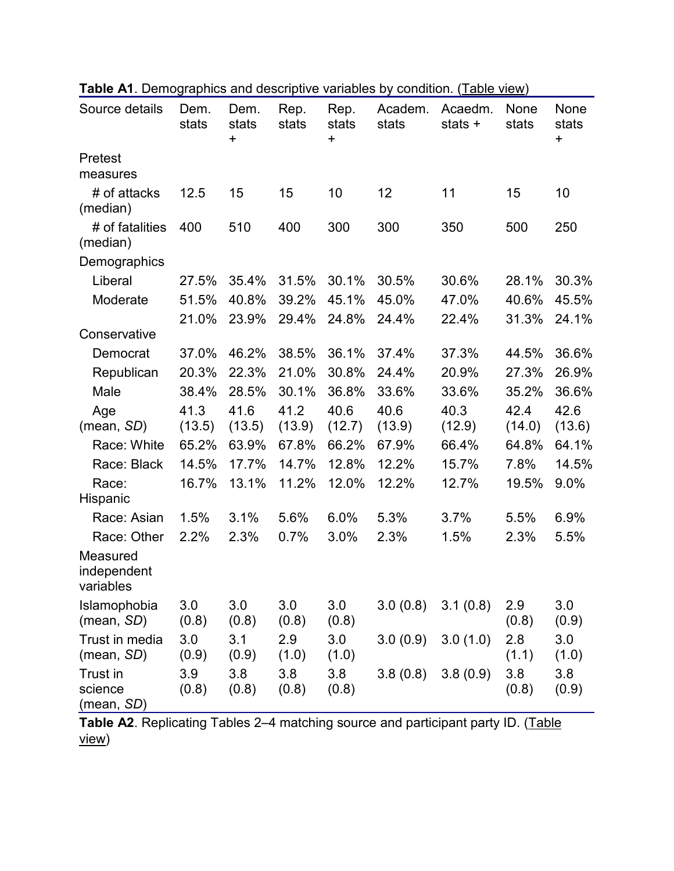| Source details                            | Dem.<br>stats | Dem.<br>stats<br>+ | Rep.<br>stats | Rep.<br>stats<br>+ | Academ.<br>stats | Acaedm.<br>stats + | None<br>stats | None<br>stats<br>+ |
|-------------------------------------------|---------------|--------------------|---------------|--------------------|------------------|--------------------|---------------|--------------------|
| Pretest<br>measures                       |               |                    |               |                    |                  |                    |               |                    |
| # of attacks<br>(median)                  | 12.5          | 15                 | 15            | 10                 | 12               | 11                 | 15            | 10                 |
| # of fatalities<br>(median)               | 400           | 510                | 400           | 300                | 300              | 350                | 500           | 250                |
| Demographics                              |               |                    |               |                    |                  |                    |               |                    |
| Liberal                                   | 27.5%         | 35.4%              | 31.5%         | 30.1%              | 30.5%            | 30.6%              | 28.1%         | 30.3%              |
| Moderate                                  | 51.5%         | 40.8%              | 39.2%         | 45.1%              | 45.0%            | 47.0%              | 40.6%         | 45.5%              |
|                                           | 21.0%         | 23.9%              | 29.4%         | 24.8%              | 24.4%            | 22.4%              | 31.3%         | 24.1%              |
| Conservative                              |               |                    |               |                    |                  |                    |               |                    |
| Democrat                                  | 37.0%         | 46.2%              | 38.5%         | 36.1%              | 37.4%            | 37.3%              | 44.5%         | 36.6%              |
| Republican                                | 20.3%         | 22.3%              | 21.0%         | 30.8%              | 24.4%            | 20.9%              | 27.3%         | 26.9%              |
| Male                                      | 38.4%         | 28.5%              | 30.1%         | 36.8%              | 33.6%            | 33.6%              | 35.2%         | 36.6%              |
| Age                                       | 41.3          | 41.6               | 41.2          | 40.6               | 40.6             | 40.3               | 42.4          | 42.6               |
| (mean, SD)                                | (13.5)        | (13.5)             | (13.9)        | (12.7)             | (13.9)           | (12.9)             | (14.0)        | (13.6)             |
| Race: White                               | 65.2%         | 63.9%              | 67.8%         | 66.2%              | 67.9%            | 66.4%              | 64.8%         | 64.1%              |
| Race: Black                               | 14.5%         | 17.7%              | 14.7%         | 12.8%              | 12.2%            | 15.7%              | 7.8%          | 14.5%              |
| Race:<br>Hispanic                         | 16.7%         | 13.1%              | 11.2%         | 12.0%              | 12.2%            | 12.7%              | 19.5%         | 9.0%               |
| Race: Asian                               | 1.5%          | 3.1%               | 5.6%          | 6.0%               | 5.3%             | 3.7%               | 5.5%          | 6.9%               |
| Race: Other                               | 2.2%          | 2.3%               | 0.7%          | 3.0%               | 2.3%             | 1.5%               | 2.3%          | 5.5%               |
| Measured<br>independent<br>variables      |               |                    |               |                    |                  |                    |               |                    |
| Islamophobia<br>(mean, SD)                | 3.0<br>(0.8)  | 3.0<br>(0.8)       | 3.0<br>(0.8)  | 3.0<br>(0.8)       | 3.0(0.8)         | 3.1(0.8)           | 2.9<br>(0.8)  | 3.0<br>(0.9)       |
| Trust in media<br>(mean, SD)              | 3.0<br>(0.9)  | 3.1<br>(0.9)       | 2.9<br>(1.0)  | 3.0<br>(1.0)       | 3.0(0.9)         | 3.0(1.0)           | 2.8<br>(1.1)  | 3.0<br>(1.0)       |
| Trust in<br>science<br>(mean, <i>SD</i> ) | 3.9<br>(0.8)  | 3.8<br>(0.8)       | 3.8<br>(0.8)  | 3.8<br>(0.8)       | 3.8(0.8)         | 3.8(0.9)           | 3.8<br>(0.8)  | 3.8<br>(0.9)       |

**Table A1**. Demographics and descriptive variables by condition. [\(Table view\)](https://www.tandfonline.com/reader/content/17f2b9a20d8/10.1080/1057610X.2018.1543145/format/epub/EPUB/xhtml/t0007.xhtml)

**Table A2**. Replicating Tables 2–4 matching source and participant party ID. [\(Table](https://www.tandfonline.com/reader/content/17f2b9a20d8/10.1080/1057610X.2018.1543145/format/epub/EPUB/xhtml/t0008.xhtml)  [view\)](https://www.tandfonline.com/reader/content/17f2b9a20d8/10.1080/1057610X.2018.1543145/format/epub/EPUB/xhtml/t0008.xhtml)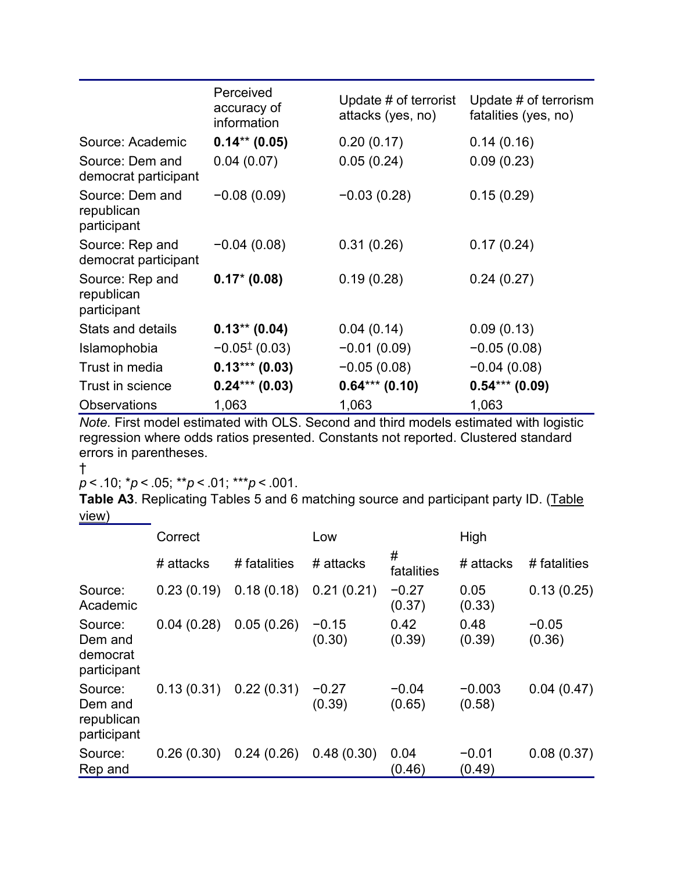|                                              | Perceived<br>accuracy of<br>information | Update # of terrorist<br>attacks (yes, no) | Update $#$ of terrorism<br>fatalities (yes, no) |
|----------------------------------------------|-----------------------------------------|--------------------------------------------|-------------------------------------------------|
| Source: Academic                             | $0.14**$ (0.05)                         | 0.20(0.17)                                 | 0.14(0.16)                                      |
| Source: Dem and<br>democrat participant      | 0.04(0.07)                              | 0.05(0.24)                                 | 0.09(0.23)                                      |
| Source: Dem and<br>republican<br>participant | $-0.08(0.09)$                           | $-0.03(0.28)$                              | 0.15(0.29)                                      |
| Source: Rep and<br>democrat participant      | $-0.04(0.08)$                           | 0.31(0.26)                                 | 0.17(0.24)                                      |
| Source: Rep and<br>republican<br>participant | $0.17* (0.08)$                          | 0.19(0.28)                                 | 0.24(0.27)                                      |
| Stats and details                            | $0.13**$ (0.04)                         | 0.04(0.14)                                 | 0.09(0.13)                                      |
| Islamophobia                                 | $-0.05^{\pm}$ (0.03)                    | $-0.01(0.09)$                              | $-0.05(0.08)$                                   |
| Trust in media                               | $0.13***$ (0.03)                        | $-0.05(0.08)$                              | $-0.04(0.08)$                                   |
| Trust in science                             | $0.24***$ (0.03)                        | $0.64***(0.10)$                            | $0.54***$ (0.09)                                |
| <b>Observations</b>                          | 1,063                                   | 1,063                                      | 1,063                                           |

*Note.* First model estimated with OLS. Second and third models estimated with logistic regression where odds ratios presented. Constants not reported. Clustered standard errors in parentheses.

†

*p* < .10; \**p* < .05; \*\**p* < .01; \*\*\**p* < .001.

**Table A3**. Replicating Tables 5 and 6 matching source and participant party ID. [\(Table](https://www.tandfonline.com/reader/content/17f2b9a20d8/10.1080/1057610X.2018.1543145/format/epub/EPUB/xhtml/t0009.xhtml)  [view\)](https://www.tandfonline.com/reader/content/17f2b9a20d8/10.1080/1057610X.2018.1543145/format/epub/EPUB/xhtml/t0009.xhtml)

|                                                 | Correct    |              | Low               |                   | High               |                   |
|-------------------------------------------------|------------|--------------|-------------------|-------------------|--------------------|-------------------|
|                                                 | # attacks  | # fatalities | # attacks         | #<br>fatalities   | # attacks          | # fatalities      |
| Source:<br>Academic                             | 0.23(0.19) | 0.18(0.18)   | 0.21(0.21)        | $-0.27$<br>(0.37) | 0.05<br>(0.33)     | 0.13(0.25)        |
| Source:<br>Dem and<br>democrat<br>participant   | 0.04(0.28) | 0.05(0.26)   | $-0.15$<br>(0.30) | 0.42<br>(0.39)    | 0.48<br>(0.39)     | $-0.05$<br>(0.36) |
| Source:<br>Dem and<br>republican<br>participant | 0.13(0.31) | 0.22(0.31)   | $-0.27$<br>(0.39) | $-0.04$<br>(0.65) | $-0.003$<br>(0.58) | 0.04(0.47)        |
| Source:<br>Rep and                              | 0.26(0.30) | 0.24(0.26)   | 0.48(0.30)        | 0.04<br>(0.46)    | $-0.01$<br>(0.49)  | 0.08(0.37)        |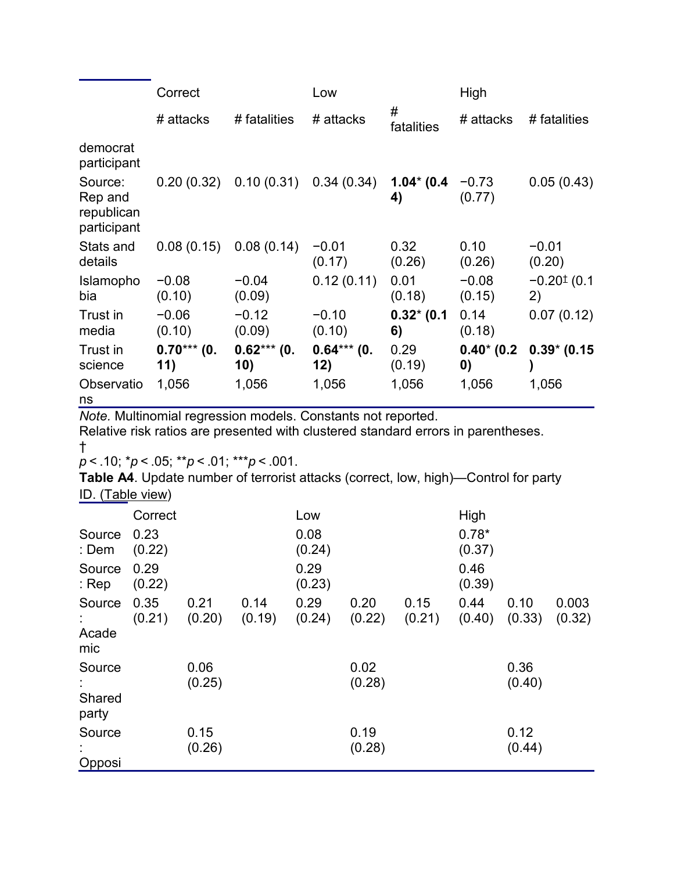|                                                 | Correct              |                      | Low                  |                    | High                |                     |
|-------------------------------------------------|----------------------|----------------------|----------------------|--------------------|---------------------|---------------------|
|                                                 | # attacks            | # fatalities         | # attacks            | #<br>fatalities    | # attacks           | # fatalities        |
| democrat<br>participant                         |                      |                      |                      |                    |                     |                     |
| Source:<br>Rep and<br>republican<br>participant | 0.20(0.32)           | 0.10(0.31)           | 0.34(0.34)           | $1.04*$ (0.4<br>4) | $-0.73$<br>(0.77)   | 0.05(0.43)          |
| Stats and<br>details                            | 0.08(0.15)           | 0.08(0.14)           | $-0.01$<br>(0.17)    | 0.32<br>(0.26)     | 0.10<br>(0.26)      | $-0.01$<br>(0.20)   |
| Islamopho<br>bia                                | $-0.08$<br>(0.10)    | $-0.04$<br>(0.09)    | 0.12(0.11)           | 0.01<br>(0.18)     | $-0.08$<br>(0.15)   | $-0.20†$ (0.1<br>2) |
| Trust in<br>media                               | $-0.06$<br>(0.10)    | $-0.12$<br>(0.09)    | $-0.10$<br>(0.10)    | $0.32*$ (0.1<br>6) | 0.14<br>(0.18)      | 0.07(0.12)          |
| Trust in<br>science                             | $0.70***$ (0.<br>11) | $0.62***$ (0.<br>10) | $0.64***$ (0.<br>12) | 0.29<br>(0.19)     | $0.40^*$ (0.2<br>0) | $0.39*$ (0.15       |
| Observatio<br>ns                                | 1,056                | 1,056                | 1,056                | 1,056              | 1,056               | 1,056               |

*Note.* Multinomial regression models. Constants not reported.

Relative risk ratios are presented with clustered standard errors in parentheses. †

*p* < .10; \**p* < .05; \*\**p* < .01; \*\*\**p* < .001.

**Table A4**. Update number of terrorist attacks (correct, low, high)—Control for party ID. [\(Table view\)](https://www.tandfonline.com/reader/content/17f2b9a20d8/10.1080/1057610X.2018.1543145/format/epub/EPUB/xhtml/t0010.xhtml)

|                                | Correct        |                |                | Low            |                |                | High              |                |                 |
|--------------------------------|----------------|----------------|----------------|----------------|----------------|----------------|-------------------|----------------|-----------------|
| Source<br>: Dem                | 0.23<br>(0.22) |                |                | 0.08<br>(0.24) |                |                | $0.78*$<br>(0.37) |                |                 |
| Source<br>$: \mathsf{Rep}$     | 0.29<br>(0.22) |                |                | 0.29<br>(0.23) |                |                | 0.46<br>(0.39)    |                |                 |
| Source<br>Acade<br>mic         | 0.35<br>(0.21) | 0.21<br>(0.20) | 0.14<br>(0.19) | 0.29<br>(0.24) | 0.20<br>(0.22) | 0.15<br>(0.21) | 0.44<br>(0.40)    | 0.10<br>(0.33) | 0.003<br>(0.32) |
| Source<br>÷<br>Shared<br>party |                | 0.06<br>(0.25) |                |                | 0.02<br>(0.28) |                |                   | 0.36<br>(0.40) |                 |
| Source<br>÷<br>Opposi          |                | 0.15<br>(0.26) |                |                | 0.19<br>(0.28) |                |                   | 0.12<br>(0.44) |                 |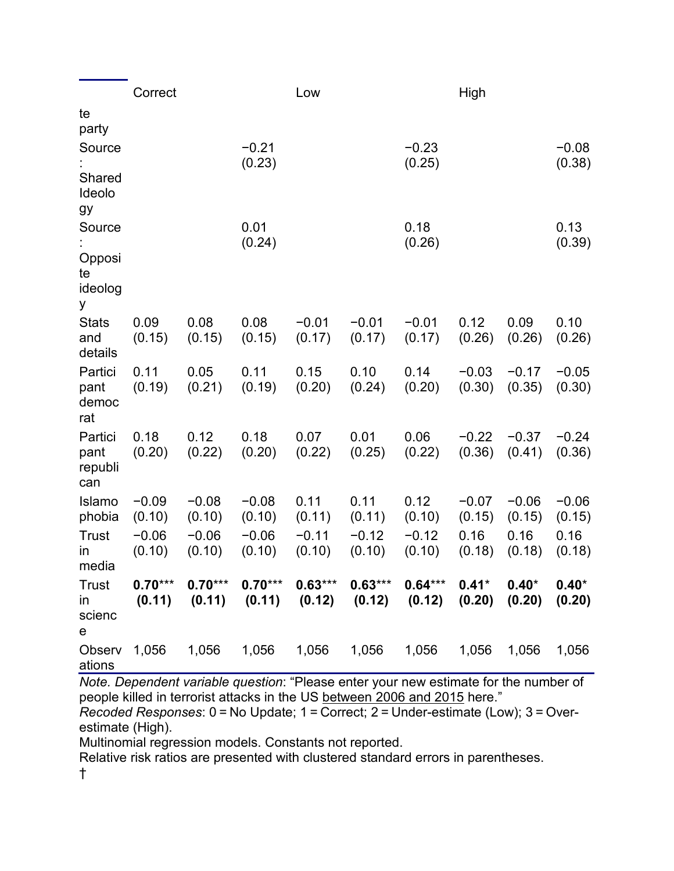|                                                 | Correct                                |                                        |                                        | Low                                                                     |                                     |                                     | High                                |                                     |                                     |
|-------------------------------------------------|----------------------------------------|----------------------------------------|----------------------------------------|-------------------------------------------------------------------------|-------------------------------------|-------------------------------------|-------------------------------------|-------------------------------------|-------------------------------------|
| te<br>party                                     |                                        |                                        |                                        |                                                                         |                                     |                                     |                                     |                                     |                                     |
| Source<br>Shared<br>Ideolo<br>gу                |                                        |                                        | $-0.21$<br>(0.23)                      |                                                                         |                                     | $-0.23$<br>(0.25)                   |                                     |                                     | $-0.08$<br>(0.38)                   |
| Source<br>Opposi<br>te<br>ideolog<br>У          |                                        |                                        | 0.01<br>(0.24)                         |                                                                         |                                     | 0.18<br>(0.26)                      |                                     |                                     | 0.13<br>(0.39)                      |
| <b>Stats</b><br>and<br>details                  | 0.09<br>(0.15)                         | 0.08<br>(0.15)                         | 0.08<br>(0.15)                         | $-0.01$<br>(0.17)                                                       | $-0.01$<br>(0.17)                   | $-0.01$<br>(0.17)                   | 0.12<br>(0.26)                      | 0.09<br>(0.26)                      | 0.10<br>(0.26)                      |
| Partici<br>pant<br>democ<br>rat                 | 0.11<br>(0.19)                         | 0.05<br>(0.21)                         | 0.11<br>(0.19)                         | 0.15<br>(0.20)                                                          | 0.10<br>(0.24)                      | 0.14<br>(0.20)                      | $-0.03$<br>(0.30)                   | $-0.17$<br>(0.35)                   | $-0.05$<br>(0.30)                   |
| Partici<br>pant<br>republi<br>can               | 0.18<br>(0.20)                         | 0.12<br>(0.22)                         | 0.18<br>(0.20)                         | 0.07<br>(0.22)                                                          | 0.01<br>(0.25)                      | 0.06<br>(0.22)                      | $-0.22$<br>(0.36)                   | $-0.37$<br>(0.41)                   | $-0.24$<br>(0.36)                   |
| Islamo<br>phobia<br><b>Trust</b><br>in<br>media | $-0.09$<br>(0.10)<br>$-0.06$<br>(0.10) | $-0.08$<br>(0.10)<br>$-0.06$<br>(0.10) | $-0.08$<br>(0.10)<br>$-0.06$<br>(0.10) | 0.11<br>(0.11)<br>$-0.11$<br>(0.10)                                     | 0.11<br>(0.11)<br>$-0.12$<br>(0.10) | 0.12<br>(0.10)<br>$-0.12$<br>(0.10) | $-0.07$<br>(0.15)<br>0.16<br>(0.18) | $-0.06$<br>(0.15)<br>0.16<br>(0.18) | $-0.06$<br>(0.15)<br>0.16<br>(0.18) |
| Trust<br>in<br>scienc<br>е                      |                                        | $0.70***$ $0.70***$                    | $0.70***$ 0.63***                      | $(0.11)$ $(0.11)$ $(0.11)$ $(0.12)$ $(0.12)$ $(0.12)$ $(0.20)$ $(0.20)$ | $0.63***$                           | $0.64***$                           | $0.41*$                             | $0.40*$                             | $0.40*$<br>(0.20)                   |
| Observ 1,056<br>ations                          |                                        | 1,056 1,056                            |                                        | 1,056                                                                   | 1,056                               | 1,056                               | 1,056                               | 1,056                               | 1,056                               |

*Note. Dependent variable question*: "Please enter your new estimate for the number of people killed in terrorist attacks in the US <u>between 2006 and 2015</u> here."

*Recoded Responses*: 0 = No Update; 1 = Correct; 2 = Under-estimate (Low); 3 = Overestimate (High).

Multinomial regression models. Constants not reported.

Relative risk ratios are presented with clustered standard errors in parentheses.

†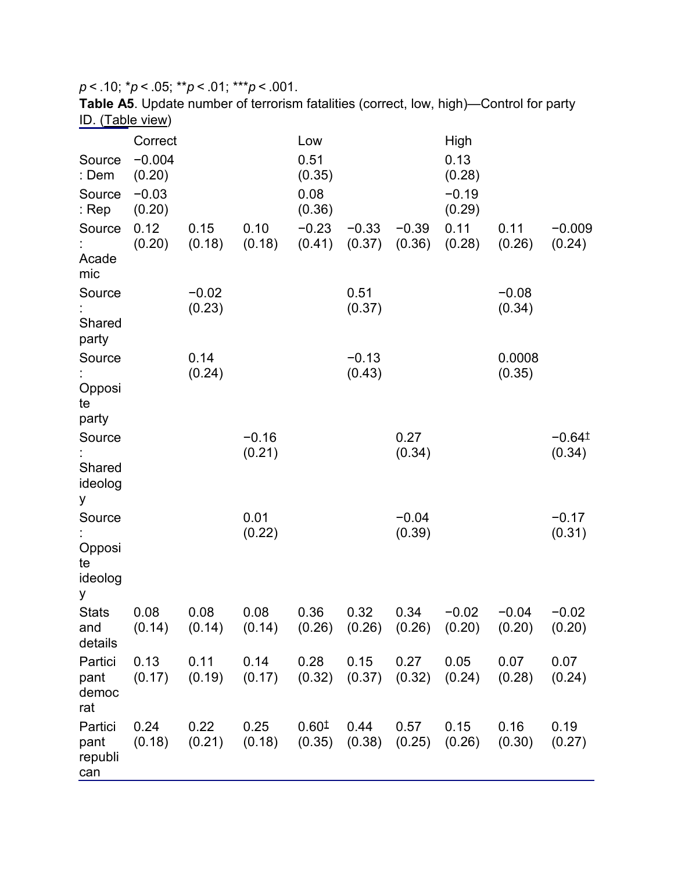*p* < .10; \**p* < .05; \*\**p* < .01; \*\*\**p* < .001.

**Table A5**. Update number of terrorism fatalities (correct, low, high)—Control for party ID. [\(Table view\)](https://www.tandfonline.com/reader/content/17f2b9a20d8/10.1080/1057610X.2018.1543145/format/epub/EPUB/xhtml/t0011.xhtml)

| Source<br>: Dem<br>Source<br>: Rep     | Correct<br>$-0.004$<br>(0.20)<br>$-0.03$<br>(0.20) |                   |                                                                        | Low<br>0.51<br>(0.35)<br>0.08<br>(0.36) |                              |                   | High<br>0.13<br>(0.28)<br>$-0.19$<br>(0.29) |                   |                                |
|----------------------------------------|----------------------------------------------------|-------------------|------------------------------------------------------------------------|-----------------------------------------|------------------------------|-------------------|---------------------------------------------|-------------------|--------------------------------|
| Source<br>Acade<br>mic                 | 0.12<br>(0.20)                                     | 0.15<br>(0.18)    | 0.10<br>(0.18)                                                         | $-0.23$                                 | $-0.33$<br>$(0.41)$ $(0.37)$ | $-0.39$           | 0.11<br>$(0.36)$ $(0.28)$ $(0.26)$          | 0.11              | $-0.009$<br>(0.24)             |
| Source<br>Shared<br>party              |                                                    | $-0.02$<br>(0.23) |                                                                        |                                         | 0.51<br>(0.37)               |                   |                                             | $-0.08$<br>(0.34) |                                |
| Source<br>Opposi<br>te<br>party        |                                                    | 0.14<br>(0.24)    |                                                                        |                                         | $-0.13$<br>(0.43)            |                   |                                             | 0.0008<br>(0.35)  |                                |
| Source<br>Shared<br>ideolog<br>У       |                                                    |                   | $-0.16$<br>(0.21)                                                      |                                         |                              | 0.27<br>(0.34)    |                                             |                   | $-0.64$ <sup>t</sup><br>(0.34) |
| Source<br>Opposi<br>te<br>ideolog<br>У |                                                    |                   | 0.01<br>(0.22)                                                         |                                         |                              | $-0.04$<br>(0.39) |                                             |                   | $-0.17$<br>(0.31)              |
| <b>Stats</b><br>and<br>details         | 0.08<br>(0.14)                                     | 0.08              | 0.08<br>$(0.14)$ $(0.14)$ $(0.26)$ $(0.26)$ $(0.26)$ $(0.20)$ $(0.20)$ | 0.36                                    | 0.32                         | 0.34              | $-0.02$                                     | $-0.04$           | $-0.02$<br>(0.20)              |
| Partici<br>pant<br>democ<br>rat        | 0.13<br>(0.17)                                     | 0.11<br>(0.19)    | 0.14<br>(0.17)                                                         | 0.28<br>(0.32)                          | 0.15<br>(0.37)               | 0.27<br>(0.32)    | 0.05<br>(0.24)                              | 0.07<br>(0.28)    | 0.07<br>(0.24)                 |
| Partici<br>pant<br>republi<br>can      | 0.24<br>(0.18)                                     | 0.22<br>(0.21)    | 0.25<br>(0.18)                                                         | 0.601<br>(0.35)                         | 0.44<br>(0.38)               | 0.57<br>(0.25)    | 0.15<br>(0.26)                              | 0.16<br>(0.30)    | 0.19<br>(0.27)                 |